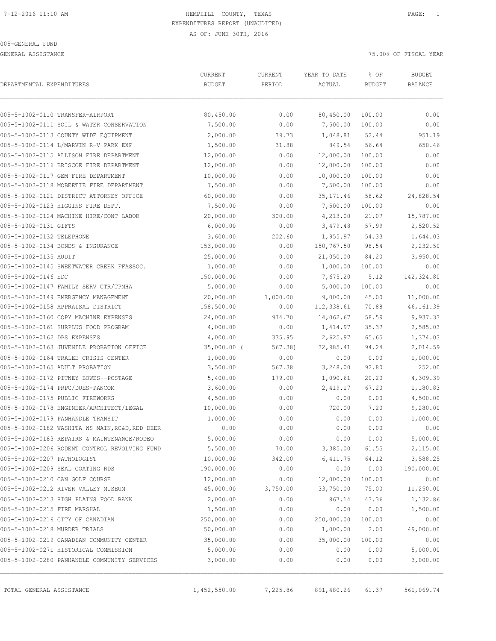GENERAL ASSISTANCE **75.000 OF FISCAL YEAR** 

|                               |                                                 | CURRENT       | CURRENT  | YEAR TO DATE | % OF          | <b>BUDGET</b>  |
|-------------------------------|-------------------------------------------------|---------------|----------|--------------|---------------|----------------|
| DEPARTMENTAL EXPENDITURES     |                                                 | <b>BUDGET</b> | PERIOD   | ACTUAL       | <b>BUDGET</b> | <b>BALANCE</b> |
|                               | 005-5-1002-0110 TRANSFER-AIRPORT                | 80,450.00     | 0.00     | 80,450.00    | 100.00        | 0.00           |
|                               | 005-5-1002-0111 SOIL & WATER CONSERVATION       | 7,500.00      | 0.00     | 7,500.00     | 100.00        | 0.00           |
|                               | 005-5-1002-0113 COUNTY WIDE EQUIPMENT           | 2,000.00      | 39.73    | 1,048.81     | 52.44         | 951.19         |
|                               | 005-5-1002-0114 L/MARVIN R-V PARK EXP           | 1,500.00      | 31.88    | 849.54       | 56.64         | 650.46         |
|                               | 005-5-1002-0115 ALLISON FIRE DEPARTMENT         | 12,000.00     | 0.00     | 12,000.00    | 100.00        | 0.00           |
|                               | 005-5-1002-0116 BRISCOE FIRE DEPARTMENT         | 12,000.00     | 0.00     | 12,000.00    | 100.00        | 0.00           |
|                               | 005-5-1002-0117 GEM FIRE DEPARTMENT             | 10,000.00     | 0.00     | 10,000.00    | 100.00        | 0.00           |
|                               | 005-5-1002-0118 MOBEETIE FIRE DEPARTMENT        | 7,500.00      | 0.00     | 7,500.00     | 100.00        | 0.00           |
|                               | 005-5-1002-0121 DISTRICT ATTORNEY OFFICE        | 60,000.00     | 0.00     | 35, 171.46   | 58.62         | 24,828.54      |
|                               | 005-5-1002-0123 HIGGINS FIRE DEPT.              | 7,500.00      | 0.00     | 7,500.00     | 100.00        | 0.00           |
|                               | 005-5-1002-0124 MACHINE HIRE/CONT LABOR         | 20,000.00     | 300.00   | 4,213.00     | 21.07         | 15,787.00      |
| 005-5-1002-0131 GIFTS         |                                                 | 6,000.00      | 0.00     | 3,479.48     | 57.99         | 2,520.52       |
| 005-5-1002-0132 TELEPHONE     |                                                 | 3,600.00      | 202.60   | 1,955.97     | 54.33         | 1,644.03       |
|                               | 005-5-1002-0134 BONDS & INSURANCE               | 153,000.00    | 0.00     | 150,767.50   | 98.54         | 2,232.50       |
| 005-5-1002-0135 AUDIT         |                                                 | 25,000.00     | 0.00     | 21,050.00    | 84.20         | 3,950.00       |
|                               | 005-5-1002-0145 SWEETWATER CREEK FFASSOC.       | 1,000.00      | 0.00     | 1,000.00     | 100.00        | 0.00           |
| 005-5-1002-0146 EDC           |                                                 | 150,000.00    | 0.00     | 7,675.20     | 5.12          | 142,324.80     |
|                               | 005-5-1002-0147 FAMILY SERV CTR/TPMHA           | 5,000.00      | 0.00     | 5,000.00     | 100.00        | 0.00           |
|                               | 005-5-1002-0149 EMERGENCY MANAGEMENT            | 20,000.00     | 1,000.00 | 9,000.00     | 45.00         | 11,000.00      |
|                               | 005-5-1002-0158 APPRAISAL DISTRICT              | 158,500.00    | 0.00     | 112,338.61   | 70.88         | 46,161.39      |
|                               | 005-5-1002-0160 COPY MACHINE EXPENSES           | 24,000.00     | 974.70   | 14,062.67    | 58.59         | 9,937.33       |
|                               | 005-5-1002-0161 SURPLUS FOOD PROGRAM            | 4,000.00      | 0.00     | 1,414.97     | 35.37         | 2,585.03       |
| 005-5-1002-0162 DPS EXPENSES  |                                                 | 4,000.00      | 335.95   | 2,625.97     | 65.65         | 1,374.03       |
|                               | 005-5-1002-0163 JUVENILE PROBATION OFFICE       | $35,000.00$ ( | 567.38)  | 32,985.41    | 94.24         | 2,014.59       |
|                               | 005-5-1002-0164 TRALEE CRISIS CENTER            | 1,000.00      | 0.00     | 0.00         | 0.00          | 1,000.00       |
|                               | 005-5-1002-0165 ADULT PROBATION                 | 3,500.00      | 567.38   | 3,248.00     | 92.80         | 252.00         |
|                               | 005-5-1002-0172 PITNEY BOWES--POSTAGE           | 5,400.00      | 179.00   | 1,090.61     | 20.20         | 4,309.39       |
|                               | 005-5-1002-0174 PRPC/DUES-PANCOM                | 3,600.00      | 0.00     | 2,419.17     | 67.20         | 1,180.83       |
|                               | 005-5-1002-0175 PUBLIC FIREWORKS                | 4,500.00      | 0.00     | 0.00         | 0.00          | 4,500.00       |
|                               | 005-5-1002-0178 ENGINEER/ARCHITECT/LEGAL        | 10,000.00     | 0.00     | 720.00       | 7.20          | 9,280.00       |
|                               | 005-5-1002-0179 PANHANDLE TRANSIT               | 1,000.00      | 0.00     | 0.00         | 0.00          | 1,000.00       |
|                               | 005-5-1002-0182 WASHITA WS MAIN, RC&D, RED DEER | 0.00          | 0.00     | 0.00         | 0.00          | 0.00           |
|                               | 005-5-1002-0183 REPAIRS & MAINTENANCE/RODEO     | 5,000.00      | 0.00     | 0.00         | 0.00          | 5,000.00       |
|                               | 005-5-1002-0206 RODENT CONTROL REVOLVING FUND   | 5,500.00      | 70.00    | 3,385.00     | 61.55         | 2,115.00       |
| 005-5-1002-0207 PATHOLOGIST   |                                                 | 10,000.00     | 342.00   | 6,411.75     | 64.12         | 3,588.25       |
|                               | 005-5-1002-0209 SEAL COATING RDS                | 190,000.00    | 0.00     | 0.00         | 0.00          | 190,000.00     |
|                               | 005-5-1002-0210 CAN GOLF COURSE                 | 12,000.00     | 0.00     | 12,000.00    | 100.00        | 0.00           |
|                               | 005-5-1002-0212 RIVER VALLEY MUSEUM             | 45,000.00     | 3,750.00 | 33,750.00    | 75.00         | 11,250.00      |
|                               | 005-5-1002-0213 HIGH PLAINS FOOD BANK           | 2,000.00      | 0.00     | 867.14       | 43.36         | 1,132.86       |
| 005-5-1002-0215 FIRE MARSHAL  |                                                 | 1,500.00      | 0.00     | 0.00         | 0.00          | 1,500.00       |
|                               | 005-5-1002-0216 CITY OF CANADIAN                | 250,000.00    | 0.00     | 250,000.00   | 100.00        | 0.00           |
| 005-5-1002-0218 MURDER TRIALS |                                                 | 50,000.00     | 0.00     | 1,000.00     | 2.00          | 49,000.00      |
|                               | 005-5-1002-0219 CANADIAN COMMUNITY CENTER       | 35,000.00     | 0.00     | 35,000.00    | 100.00        | 0.00           |
|                               | 005-5-1002-0271 HISTORICAL COMMISSION           | 5,000.00      | 0.00     | 0.00         | 0.00          | 5,000.00       |
|                               | 005-5-1002-0280 PANHANDLE COMMUNITY SERVICES    | 3,000.00      | 0.00     | 0.00         | 0.00          | 3,000.00       |

TOTAL GENERAL ASSISTANCE 1,452,550.00 7,225.86 891,480.26 61.37 561,069.74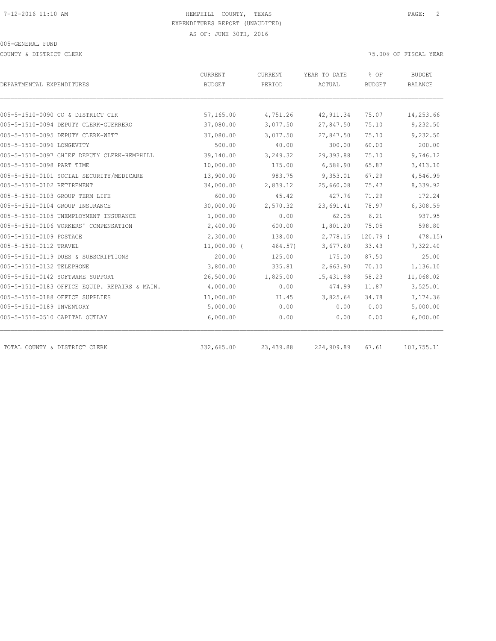COUNTY & DISTRICT CLERK 75.00% OF FISCAL YEAR

| DEPARTMENTAL EXPENDITURES                     | <b>CURRENT</b><br>BUDGET | CURRENT<br>PERIOD | YEAR TO DATE<br>ACTUAL | % OF<br><b>BUDGET</b> | <b>BUDGET</b><br><b>BALANCE</b> |
|-----------------------------------------------|--------------------------|-------------------|------------------------|-----------------------|---------------------------------|
|                                               |                          |                   |                        |                       |                                 |
| 005-5-1510-0090 CO & DISTRICT CLK             | 57,165.00                | 4,751.26          | 42, 911.34             | 75.07                 | 14,253.66                       |
| 005-5-1510-0094 DEPUTY CLERK-GUERRERO         | 37,080.00                | 3,077.50          | 27,847.50              | 75.10                 | 9,232.50                        |
| 005-5-1510-0095 DEPUTY CLERK-WITT             | 37,080.00                | 3,077.50          | 27,847.50              | 75.10                 | 9,232.50                        |
| 005-5-1510-0096 LONGEVITY                     | 500.00                   | 40.00             | 300.00                 | 60.00                 | 200.00                          |
| 005-5-1510-0097 CHIEF DEPUTY CLERK-HEMPHILL   | 39,140.00                | 3,249.32          | 29,393.88              | 75.10                 | 9,746.12                        |
| 005-5-1510-0098 PART TIME                     | 10,000.00                | 175.00            | 6,586.90               | 65.87                 | 3,413.10                        |
| 005-5-1510-0101 SOCIAL SECURITY/MEDICARE      | 13,900.00                | 983.75            | 9,353.01               | 67.29                 | 4,546.99                        |
| 005-5-1510-0102 RETIREMENT                    | 34,000.00                | 2,839.12          | 25,660.08              | 75.47                 | 8,339.92                        |
| 005-5-1510-0103 GROUP TERM LIFE               | 600.00                   | 45.42             | 427.76                 | 71.29                 | 172.24                          |
| 005-5-1510-0104 GROUP INSURANCE               | 30,000.00                | 2,570.32          | 23,691.41              | 78.97                 | 6,308.59                        |
| 005-5-1510-0105 UNEMPLOYMENT INSURANCE        | 1,000.00                 | 0.00              | 62.05                  | 6.21                  | 937.95                          |
| 005-5-1510-0106 WORKERS' COMPENSATION         | 2,400.00                 | 600.00            | 1,801.20               | 75.05                 | 598.80                          |
| 005-5-1510-0109 POSTAGE                       | 2,300.00                 | 138.00            | 2,778.15               | $120.79$ (            | 478.15                          |
| 005-5-1510-0112 TRAVEL                        | $11,000.00$ (            | 464.57)           | 3,677.60               | 33.43                 | 7,322.40                        |
| 005-5-1510-0119 DUES & SUBSCRIPTIONS          | 200.00                   | 125.00            | 175.00                 | 87.50                 | 25.00                           |
| 005-5-1510-0132 TELEPHONE                     | 3,800.00                 | 335.81            | 2,663.90               | 70.10                 | 1,136.10                        |
| 005-5-1510-0142 SOFTWARE SUPPORT              | 26,500.00                | 1,825.00          | 15, 431.98             | 58.23                 | 11,068.02                       |
| 005-5-1510-0183 OFFICE EQUIP. REPAIRS & MAIN. | 4,000.00                 | 0.00              | 474.99                 | 11.87                 | 3,525.01                        |
| 005-5-1510-0188 OFFICE SUPPLIES               | 11,000.00                | 71.45             | 3,825.64               | 34.78                 | 7,174.36                        |
| 005-5-1510-0189 INVENTORY                     | 5,000.00                 | 0.00              | 0.00                   | 0.00                  | 5,000.00                        |
| 005-5-1510-0510 CAPITAL OUTLAY                | 6,000.00                 | 0.00              | 0.00                   | 0.00                  | 6,000.00                        |
| TOTAL COUNTY & DISTRICT CLERK                 | 332,665.00               | 23,439.88         | 224,909.89             | 67.61                 | 107,755.11                      |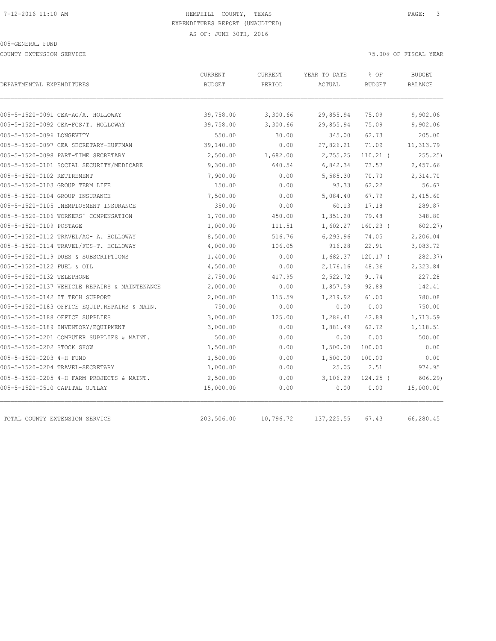COUNTY EXTENSION SERVICE **EXECUTE 1999** TO 2008 OF FISCAL YEAR

|                                               | CURRENT       | CURRENT   | YEAR TO DATE | % OF                                                                                                                                                                                                                                                                                        | <b>BUDGET</b> |                |
|-----------------------------------------------|---------------|-----------|--------------|---------------------------------------------------------------------------------------------------------------------------------------------------------------------------------------------------------------------------------------------------------------------------------------------|---------------|----------------|
| DEPARTMENTAL EXPENDITURES                     | <b>BUDGET</b> | PERIOD    | ACTUAL       | <b>BUDGET</b><br>75.09<br>75.09<br>62.73<br>71.09<br>$110.21$ (<br>73.57<br>70.70<br>62.22<br>67.79<br>17.18<br>79.48<br>$160.23$ (<br>74.05<br>22.91<br>$120.17$ (<br>48.36<br>91.74<br>92.88<br>61.00<br>0.00<br>42.88<br>62.72<br>0.00<br>100.00<br>100.00<br>2.51<br>$124.25$ (<br>0.00 |               | <b>BALANCE</b> |
|                                               |               |           |              |                                                                                                                                                                                                                                                                                             |               |                |
| 005-5-1520-0091 CEA-AG/A. HOLLOWAY            | 39,758.00     | 3,300.66  | 29,855.94    |                                                                                                                                                                                                                                                                                             | 9,902.06      |                |
| 005-5-1520-0092 CEA-FCS/T. HOLLOWAY           | 39,758.00     | 3,300.66  | 29,855.94    |                                                                                                                                                                                                                                                                                             | 9,902.06      |                |
| 005-5-1520-0096 LONGEVITY                     | 550.00        | 30.00     | 345.00       |                                                                                                                                                                                                                                                                                             | 205.00        |                |
| 005-5-1520-0097 CEA SECRETARY-HUFFMAN         | 39,140.00     | 0.00      | 27,826.21    |                                                                                                                                                                                                                                                                                             | 11,313.79     |                |
| 005-5-1520-0098 PART-TIME SECRETARY           | 2,500.00      | 1,682.00  | 2,755.25     |                                                                                                                                                                                                                                                                                             | 255.25        |                |
| 005-5-1520-0101 SOCIAL SECURITY/MEDICARE      | 9,300.00      | 640.54    | 6,842.34     |                                                                                                                                                                                                                                                                                             | 2,457.66      |                |
| 005-5-1520-0102 RETIREMENT                    | 7,900.00      | 0.00      | 5,585.30     |                                                                                                                                                                                                                                                                                             | 2,314.70      |                |
| 005-5-1520-0103 GROUP TERM LIFE               | 150.00        | 0.00      | 93.33        |                                                                                                                                                                                                                                                                                             | 56.67         |                |
| 005-5-1520-0104 GROUP INSURANCE               | 7,500.00      | 0.00      | 5,084.40     |                                                                                                                                                                                                                                                                                             | 2,415.60      |                |
| 005-5-1520-0105 UNEMPLOYMENT INSURANCE        | 350.00        | 0.00      | 60.13        |                                                                                                                                                                                                                                                                                             | 289.87        |                |
| 005-5-1520-0106 WORKERS' COMPENSATION         | 1,700.00      | 450.00    | 1,351.20     |                                                                                                                                                                                                                                                                                             | 348.80        |                |
| 005-5-1520-0109 POSTAGE                       | 1,000.00      | 111.51    | 1,602.27     |                                                                                                                                                                                                                                                                                             | 602.27)       |                |
| 005-5-1520-0112 TRAVEL/AG- A. HOLLOWAY        | 8,500.00      | 516.76    | 6,293.96     |                                                                                                                                                                                                                                                                                             | 2,206.04      |                |
| 005-5-1520-0114 TRAVEL/FCS-T. HOLLOWAY        | 4,000.00      | 106.05    | 916.28       |                                                                                                                                                                                                                                                                                             | 3,083.72      |                |
| 005-5-1520-0119 DUES & SUBSCRIPTIONS          | 1,400.00      | 0.00      | 1,682.37     |                                                                                                                                                                                                                                                                                             | 282.37)       |                |
| 005-5-1520-0122 FUEL & OIL                    | 4,500.00      | 0.00      | 2,176.16     |                                                                                                                                                                                                                                                                                             | 2,323.84      |                |
| 005-5-1520-0132 TELEPHONE                     | 2,750.00      | 417.95    | 2,522.72     |                                                                                                                                                                                                                                                                                             | 227.28        |                |
| 005-5-1520-0137 VEHICLE REPAIRS & MAINTENANCE | 2,000.00      | 0.00      | 1,857.59     |                                                                                                                                                                                                                                                                                             | 142.41        |                |
| 005-5-1520-0142 IT TECH SUPPORT               | 2,000.00      | 115.59    | 1,219.92     |                                                                                                                                                                                                                                                                                             | 780.08        |                |
| 005-5-1520-0183 OFFICE EQUIP.REPAIRS & MAIN.  | 750.00        | 0.00      | 0.00         |                                                                                                                                                                                                                                                                                             | 750.00        |                |
| 005-5-1520-0188 OFFICE SUPPLIES               | 3,000.00      | 125.00    | 1,286.41     |                                                                                                                                                                                                                                                                                             | 1,713.59      |                |
| 005-5-1520-0189 INVENTORY/EQUIPMENT           | 3,000.00      | 0.00      | 1,881.49     |                                                                                                                                                                                                                                                                                             | 1,118.51      |                |
| 005-5-1520-0201 COMPUTER SUPPLIES & MAINT.    | 500.00        | 0.00      | 0.00         |                                                                                                                                                                                                                                                                                             | 500.00        |                |
| 005-5-1520-0202 STOCK SHOW                    | 1,500.00      | 0.00      | 1,500.00     |                                                                                                                                                                                                                                                                                             | 0.00          |                |
| 005-5-1520-0203 4-H FUND                      | 1,500.00      | 0.00      | 1,500.00     |                                                                                                                                                                                                                                                                                             | 0.00          |                |
| 005-5-1520-0204 TRAVEL-SECRETARY              | 1,000.00      | 0.00      | 25.05        |                                                                                                                                                                                                                                                                                             | 974.95        |                |
| 005-5-1520-0205 4-H FARM PROJECTS & MAINT.    | 2,500.00      | 0.00      | 3,106.29     |                                                                                                                                                                                                                                                                                             | 606.29        |                |
| 005-5-1520-0510 CAPITAL OUTLAY                | 15,000.00     | 0.00      | 0.00         |                                                                                                                                                                                                                                                                                             | 15,000.00     |                |
| TOTAL COUNTY EXTENSION SERVICE                | 203,506.00    | 10,796.72 | 137, 225.55  | 67.43                                                                                                                                                                                                                                                                                       | 66,280.45     |                |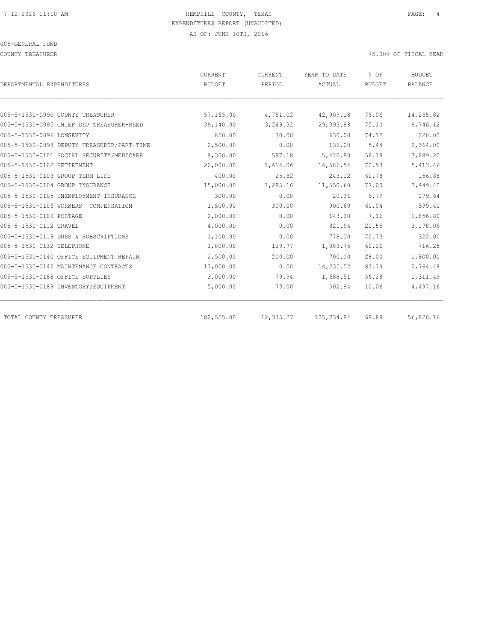COUNTY TREASURER 75.00% OF FISCAL YEAR

| DEPARTMENTAL EXPENDITURES                  | CURRENT<br><b>BUDGET</b> | CURRENT<br>PERIOD | YEAR TO DATE<br>ACTUAL | % OF<br><b>BUDGET</b> | <b>BUDGET</b><br><b>BALANCE</b> |
|--------------------------------------------|--------------------------|-------------------|------------------------|-----------------------|---------------------------------|
|                                            |                          |                   |                        |                       |                                 |
| 005-5-1530-0090 COUNTY TREASURER           | 57,165.00                | 4,751.02          | 42,909.18              | 75.06                 | 14,255.82                       |
| 005-5-1530-0095 CHIEF DEP TREASURER-REED   | 39,140.00                | 3,249.32          | 29,393.88              | 75.10                 | 9,746.12                        |
| 005-5-1530-0096 LONGEVITY                  | 850.00                   | 70.00             | 630.00                 | 74.12                 | 220.00                          |
| 005-5-1530-0098 DEPUTY TREASURER/PART-TIME | 2,500.00                 | 0.00              | 136.00                 | 5.44                  | 2,364.00                        |
| 005-5-1530-0101 SOCIAL SECURITY/MEDICARE   | 9,300.00                 | 597.18            | 5,410.80               | 58.18                 | 3,889.20                        |
| 005-5-1530-0102 RETIREMENT                 | 20,000.00                | 1,614.06          | 14,586.54              | 72.93                 | 5,413.46                        |
| 005-5-1530-0103 GROUP TERM LIFE            | 400.00                   | 25.82             | 243.12                 | 60.78                 | 156.88                          |
| 005-5-1530-0104 GROUP INSURANCE            | 15,000.00                | 1,285.16          | 11,550.60              | 77.00                 | 3,449.40                        |
| 005-5-1530-0105 UNEMPLOYMENT INSURANCE     | 300.00                   | 0.00              | 20.36                  | 6.79                  | 279.64                          |
| 005-5-1530-0106 WORKERS' COMPENSATION      | 1,500.00                 | 300.00            | 900.60                 | 60.04                 | 599.40                          |
| 005-5-1530-0109 POSTAGE                    | 2,000.00                 | 0.00              | 143.20                 | 7.16                  | 1,856.80                        |
| 005-5-1530-0112 TRAVEL                     | 4,000.00                 | 0.00              | 821.94                 | 20.55                 | 3,178.06                        |
| 005-5-1530-0119 DUES & SUBSCRIPTIONS       | 1,100.00                 | 0.00              | 778.00                 | 70.73                 | 322.00                          |
| 005-5-1530-0132 TELEPHONE                  | 1,800.00                 | 129.77            | 1,083.75               | 60.21                 | 716.25                          |
| 005-5-1530-0140 OFFICE EQUIPMENT REPAIR    | 2,500.00                 | 200.00            | 700.00                 | 28.00                 | 1,800.00                        |
| 005-5-1530-0142 MAINTENANCE CONTRACTS      | 17,000.00                | 0.00              | 14,235.52              | 83.74                 | 2,764.48                        |
| 005-5-1530-0188 OFFICE SUPPLIES            | 3,000.00                 | 79.94             | 1,688.51               | 56.28                 | 1,311.49                        |
| 005-5-1530-0189 INVENTORY/EQUIPMENT        | 5,000.00                 | 73.00             | 502.84                 | 10.06                 | 4,497.16                        |
| TOTAL COUNTY TREASURER                     | 182,555.00               | 12,375.27         | 125,734.84             | 68.88                 | 56,820.16                       |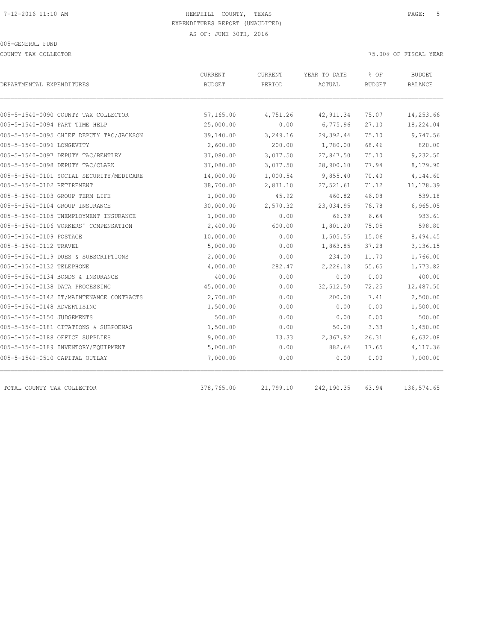COUNTY TAX COLLECTOR 75.00% OF FISCAL YEAR

| DEPARTMENTAL EXPENDITURES                | CURRENT<br><b>BUDGET</b> | CURRENT<br>PERIOD | YEAR TO DATE<br>ACTUAL | % OF<br><b>BUDGET</b> | <b>BUDGET</b><br>BALANCE |
|------------------------------------------|--------------------------|-------------------|------------------------|-----------------------|--------------------------|
|                                          |                          |                   |                        |                       |                          |
| 005-5-1540-0090 COUNTY TAX COLLECTOR     | 57,165.00                | 4,751.26          | 42, 911.34             | 75.07                 | 14,253.66                |
| 005-5-1540-0094 PART TIME HELP           | 25,000.00                | 0.00              | 6,775.96               | 27.10                 | 18,224.04                |
| 005-5-1540-0095 CHIEF DEPUTY TAC/JACKSON | 39,140.00                | 3,249.16          | 29,392.44              | 75.10                 | 9,747.56                 |
| 005-5-1540-0096 LONGEVITY                | 2,600.00                 | 200.00            | 1,780.00               | 68.46                 | 820.00                   |
| 005-5-1540-0097 DEPUTY TAC/BENTLEY       | 37,080.00                | 3,077.50          | 27,847.50              | 75.10                 | 9,232.50                 |
| 005-5-1540-0098 DEPUTY TAC/CLARK         | 37,080.00                | 3,077.50          | 28,900.10              | 77.94                 | 8,179.90                 |
| 005-5-1540-0101 SOCIAL SECURITY/MEDICARE | 14,000.00                | 1,000.54          | 9,855.40               | 70.40                 | 4,144.60                 |
| 005-5-1540-0102 RETIREMENT               | 38,700.00                | 2,871.10          | 27,521.61              | 71.12                 | 11, 178.39               |
| 005-5-1540-0103 GROUP TERM LIFE          | 1,000.00                 | 45.92             | 460.82                 | 46.08                 | 539.18                   |
| 005-5-1540-0104 GROUP INSURANCE          | 30,000.00                | 2,570.32          | 23,034.95              | 76.78                 | 6,965.05                 |
| 005-5-1540-0105 UNEMPLOYMENT INSURANCE   | 1,000.00                 | 0.00              | 66.39                  | 6.64                  | 933.61                   |
| 005-5-1540-0106 WORKERS' COMPENSATION    | 2,400.00                 | 600.00            | 1,801.20               | 75.05                 | 598.80                   |
| 005-5-1540-0109 POSTAGE                  | 10,000.00                | 0.00              | 1,505.55               | 15.06                 | 8,494.45                 |
| 005-5-1540-0112 TRAVEL                   | 5,000.00                 | 0.00              | 1,863.85               | 37.28                 | 3,136.15                 |
| 005-5-1540-0119 DUES & SUBSCRIPTIONS     | 2,000.00                 | 0.00              | 234.00                 | 11.70                 | 1,766.00                 |
| 005-5-1540-0132 TELEPHONE                | 4,000.00                 | 282.47            | 2,226.18               | 55.65                 | 1,773.82                 |
| 005-5-1540-0134 BONDS & INSURANCE        | 400.00                   | 0.00              | 0.00                   | 0.00                  | 400.00                   |
| 005-5-1540-0138 DATA PROCESSING          | 45,000.00                | 0.00              | 32,512.50              | 72.25                 | 12,487.50                |
| 005-5-1540-0142 IT/MAINTENANCE CONTRACTS | 2,700.00                 | 0.00              | 200.00                 | 7.41                  | 2,500.00                 |
| 005-5-1540-0148 ADVERTISING              | 1,500.00                 | 0.00              | 0.00                   | 0.00                  | 1,500.00                 |
| 005-5-1540-0150 JUDGEMENTS               | 500.00                   | 0.00              | 0.00                   | 0.00                  | 500.00                   |
| 005-5-1540-0181 CITATIONS & SUBPOENAS    | 1,500.00                 | 0.00              | 50.00                  | 3.33                  | 1,450.00                 |
| 005-5-1540-0188 OFFICE SUPPLIES          | 9,000.00                 | 73.33             | 2,367.92               | 26.31                 | 6,632.08                 |
| 005-5-1540-0189 INVENTORY/EQUIPMENT      | 5,000.00                 | 0.00              | 882.64                 | 17.65                 | 4,117.36                 |
| 005-5-1540-0510 CAPITAL OUTLAY           | 7,000.00                 | 0.00              | 0.00                   | 0.00                  | 7,000.00                 |
| TOTAL COUNTY TAX COLLECTOR               | 378,765.00               | 21,799.10         | 242,190.35             | 63.94                 | 136,574.65               |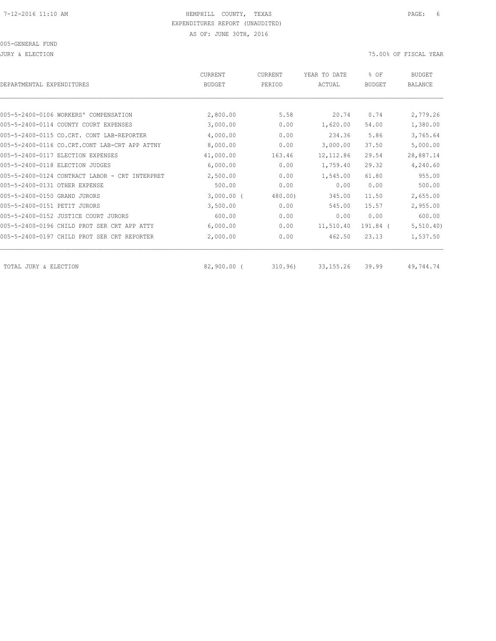005-GENERAL FUND

JURY & ELECTION 75.00% OF FISCAL YEAR

| DEPARTMENTAL EXPENDITURES                      | CURRENT<br><b>BUDGET</b> | CURRENT<br>PERIOD | YEAR TO DATE<br>ACTUAL | % OF<br><b>BUDGET</b> | <b>BUDGET</b><br><b>BALANCE</b> |
|------------------------------------------------|--------------------------|-------------------|------------------------|-----------------------|---------------------------------|
|                                                |                          |                   |                        |                       |                                 |
| 005-5-2400-0106 WORKERS' COMPENSATION          | 2,800.00                 | 5.58              | 20.74                  | 0.74                  | 2,779.26                        |
| 005-5-2400-0114 COUNTY COURT EXPENSES          | 3,000.00                 | 0.00              | 1,620.00               | 54.00                 | 1,380.00                        |
| 005-5-2400-0115 CO.CRT. CONT<br>LAB-REPORTER   | 4,000.00                 | 0.00              | 234.36                 | 5.86                  | 3,765.64                        |
| 005-5-2400-0116 CO.CRT.CONT LAB-CRT APP ATTNY  | 8,000.00                 | 0.00              | 3,000.00               | 37.50                 | 5,000.00                        |
| 005-5-2400-0117 RLECTION EXPENSES              | 41,000.00                | 163.46            | 12, 112.86             | 29.54                 | 28,887.14                       |
| 005-5-2400-0118 ELECTION JUDGES                | 6,000.00                 | 0.00              | 1,759.40               | 29.32                 | 4,240.60                        |
| 005-5-2400-0124 CONTRACT LABOR - CRT INTERPRET | 2,500.00                 | 0.00              | 1,545.00               | 61.80                 | 955.00                          |
| 005-5-2400-0131 OTHER EXPENSE                  | 500.00                   | 0.00              | 0.00                   | 0.00                  | 500.00                          |
| 005-5-2400-0150 GRAND JURORS                   | $3,000.00$ (             | 480.00            | 345.00                 | 11.50                 | 2,655.00                        |
| 005-5-2400-0151 PETIT JURORS                   | 3,500.00                 | 0.00              | 545.00                 | 15.57                 | 2,955.00                        |
| 005-5-2400-0152 JUSTICE COURT JURORS           | 600.00                   | 0.00              | 0.00                   | 0.00                  | 600.00                          |
| 005-5-2400-0196 CHILD PROT SER CRT APP ATTY    | 6,000.00                 | 0.00              | 11,510.40              | 191.84 (              | 5, 510.40)                      |
| 005-5-2400-0197 CHILD PROT SER CRT REPORTER    | 2,000.00                 | 0.00              | 462.50                 | 23.13                 | 1,537.50                        |
| TOTAL JURY & ELECTION                          | 82,900.00 (              | 310.96            | 33, 155. 26            | 39.99                 | 49,744.74                       |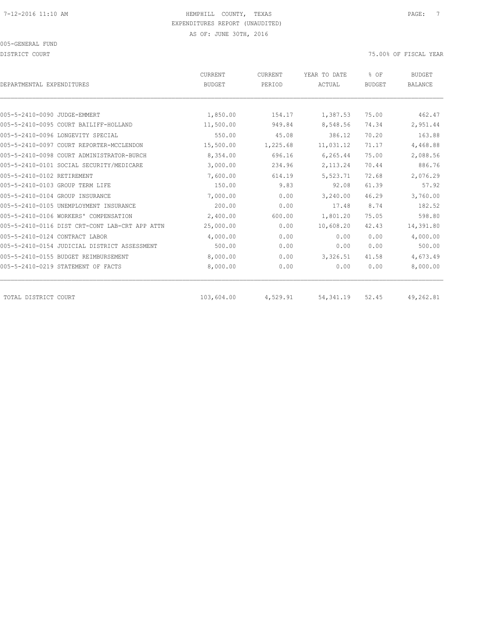DISTRICT COURT 75.00% OF FISCAL YEAR

| DEPARTMENTAL EXPENDITURES                      | CURRENT<br><b>BUDGET</b> | CURRENT<br>PERIOD | YEAR TO DATE<br>ACTUAL | % OF<br><b>BUDGET</b> | <b>BUDGET</b><br><b>BALANCE</b> |
|------------------------------------------------|--------------------------|-------------------|------------------------|-----------------------|---------------------------------|
|                                                |                          |                   |                        |                       |                                 |
| 005-5-2410-0090 JUDGE-EMMERT                   | 1,850.00                 | 154.17            | 1,387.53               | 75.00                 | 462.47                          |
| 005-5-2410-0095 COURT BAILIFF-HOLLAND          | 11,500.00                | 949.84            | 8,548.56               | 74.34                 | 2,951.44                        |
| 005-5-2410-0096 LONGEVITY SPECIAL              | 550.00                   | 45.08             | 386.12                 | 70.20                 | 163.88                          |
| 005-5-2410-0097 COURT REPORTER-MCCLENDON       | 15,500.00                | 1,225.68          | 11,031.12              | 71.17                 | 4,468.88                        |
| 005-5-2410-0098 COURT ADMINISTRATOR-BURCH      | 8,354.00                 | 696.16            | 6,265.44               | 75.00                 | 2,088.56                        |
| 005-5-2410-0101 SOCIAL SECURITY/MEDICARE       | 3,000.00                 | 234.96            | 2, 113.24              | 70.44                 | 886.76                          |
| 005-5-2410-0102 RETIREMENT                     | 7,600.00                 | 614.19            | 5,523.71               | 72.68                 | 2,076.29                        |
| 005-5-2410-0103 GROUP TERM LIFE                | 150.00                   | 9.83              | 92.08                  | 61.39                 | 57.92                           |
| 005-5-2410-0104 GROUP INSURANCE                | 7,000.00                 | 0.00              | 3,240.00               | 46.29                 | 3,760.00                        |
| 005-5-2410-0105 UNEMPLOYMENT INSURANCE         | 200.00                   | 0.00              | 17.48                  | 8.74                  | 182.52                          |
| 005-5-2410-0106 WORKERS' COMPENSATION          | 2,400.00                 | 600.00            | 1,801.20               | 75.05                 | 598.80                          |
| 005-5-2410-0116 DIST CRT-CONT LAB-CRT APP ATTN | 25,000.00                | 0.00              | 10,608.20              | 42.43                 | 14,391.80                       |
| 005-5-2410-0124 CONTRACT LABOR                 | 4,000.00                 | 0.00              | 0.00                   | 0.00                  | 4,000.00                        |
| 005-5-2410-0154 JUDICIAL DISTRICT ASSESSMENT   | 500.00                   | 0.00              | 0.00                   | 0.00                  | 500.00                          |
| 005-5-2410-0155 BUDGET REIMBURSEMENT           | 8,000.00                 | 0.00              | 3,326.51               | 41.58                 | 4,673.49                        |
| 005-5-2410-0219 STATEMENT OF FACTS             | 8,000.00                 | 0.00              | 0.00                   | 0.00                  | 8,000.00                        |
| TOTAL DISTRICT COURT                           | 103,604.00               | 4,529.91          | 54, 341.19             | 52.45                 | 49,262.81                       |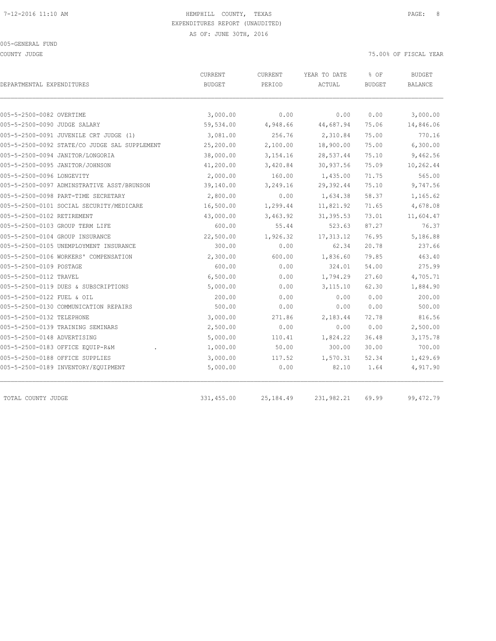COUNTY JUDGE 75.00% OF FISCAL YEAR

| DEPARTMENTAL EXPENDITURES                     | CURRENT<br><b>BUDGET</b> | CURRENT<br>PERIOD | YEAR TO DATE<br>ACTUAL | % OF<br><b>BUDGET</b> | <b>BUDGET</b><br><b>BALANCE</b> |
|-----------------------------------------------|--------------------------|-------------------|------------------------|-----------------------|---------------------------------|
|                                               |                          |                   |                        |                       |                                 |
| 005-5-2500-0082 OVERTIME                      | 3,000.00                 | 0.00              | 0.00                   | 0.00                  | 3,000.00                        |
| 005-5-2500-0090 JUDGE SALARY                  | 59,534.00                | 4,948.66          | 44,687.94              | 75.06                 | 14,846.06                       |
| 005-5-2500-0091 JUVENILE CRT JUDGE (1)        | 3,081.00                 | 256.76            | 2,310.84               | 75.00                 | 770.16                          |
| 005-5-2500-0092 STATE/CO JUDGE SAL SUPPLEMENT | 25,200.00                | 2,100.00          | 18,900.00              | 75.00                 | 6,300.00                        |
| 005-5-2500-0094 JANITOR/LONGORIA              | 38,000.00                | 3,154.16          | 28,537.44              | 75.10                 | 9,462.56                        |
| 005-5-2500-0095 JANITOR/JOHNSON               | 41,200.00                | 3,420.84          | 30,937.56              | 75.09                 | 10,262.44                       |
| 005-5-2500-0096 LONGEVITY                     | 2,000.00                 | 160.00            | 1,435.00               | 71.75                 | 565.00                          |
| 005-5-2500-0097 ADMINSTRATIVE ASST/BRUNSON    | 39,140.00                | 3,249.16          | 29,392.44              | 75.10                 | 9,747.56                        |
| 005-5-2500-0098 PART-TIME SECRETARY           | 2,800.00                 | 0.00              | 1,634.38               | 58.37                 | 1,165.62                        |
| 005-5-2500-0101 SOCIAL SECURITY/MEDICARE      | 16,500.00                | 1,299.44          | 11,821.92              | 71.65                 | 4,678.08                        |
| 005-5-2500-0102 RETIREMENT                    | 43,000.00                | 3,463.92          | 31, 395.53             | 73.01                 | 11,604.47                       |
| 005-5-2500-0103 GROUP TERM LIFE               | 600.00                   | 55.44             | 523.63                 | 87.27                 | 76.37                           |
| 005-5-2500-0104 GROUP INSURANCE               | 22,500.00                | 1,926.32          | 17, 313.12             | 76.95                 | 5,186.88                        |
| 005-5-2500-0105 UNEMPLOYMENT INSURANCE        | 300.00                   | 0.00              | 62.34                  | 20.78                 | 237.66                          |
| 005-5-2500-0106 WORKERS' COMPENSATION         | 2,300.00                 | 600.00            | 1,836.60               | 79.85                 | 463.40                          |
| 005-5-2500-0109 POSTAGE                       | 600.00                   | 0.00              | 324.01                 | 54.00                 | 275.99                          |
| 005-5-2500-0112 TRAVEL                        | 6,500.00                 | 0.00              | 1,794.29               | 27.60                 | 4,705.71                        |
| 005-5-2500-0119 DUES & SUBSCRIPTIONS          | 5,000.00                 | 0.00              | 3, 115.10              | 62.30                 | 1,884.90                        |
| 005-5-2500-0122 FUEL & OIL                    | 200.00                   | 0.00              | 0.00                   | 0.00                  | 200.00                          |
| 005-5-2500-0130 COMMUNICATION REPAIRS         | 500.00                   | 0.00              | 0.00                   | 0.00                  | 500.00                          |
| 005-5-2500-0132 TELEPHONE                     | 3,000.00                 | 271.86            | 2,183.44               | 72.78                 | 816.56                          |
| 005-5-2500-0139 TRAINING SEMINARS             | 2,500.00                 | 0.00              | 0.00                   | 0.00                  | 2,500.00                        |
| 005-5-2500-0148 ADVERTISING                   | 5,000.00                 | 110.41            | 1,824.22               | 36.48                 | 3,175.78                        |
| 005-5-2500-0183 OFFICE EQUIP-R&M              | 1,000.00                 | 50.00             | 300.00                 | 30.00                 | 700.00                          |
| 005-5-2500-0188 OFFICE SUPPLIES               | 3,000.00                 | 117.52            | 1,570.31               | 52.34                 | 1,429.69                        |
| 005-5-2500-0189 INVENTORY/EQUIPMENT           | 5,000.00                 | 0.00              | 82.10                  | 1.64                  | 4,917.90                        |
| TOTAL COUNTY JUDGE                            | 331,455.00               | 25,184.49         | 231,982.21             | 69.99                 | 99, 472.79                      |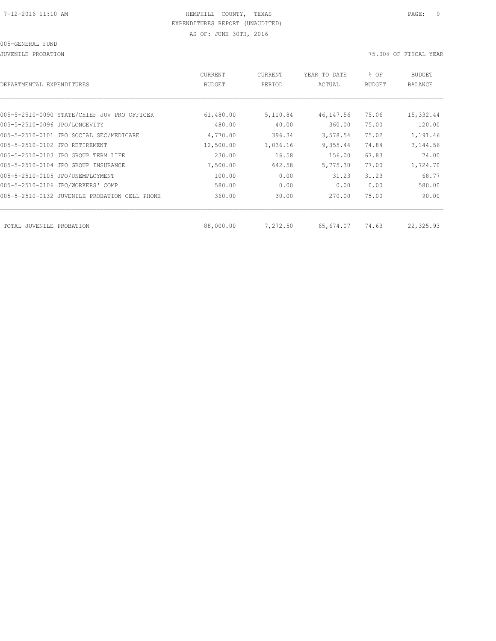JUVENILE PROBATION 75.00% OF FISCAL YEAR

| CURRENT<br><b>BUDGET</b> | CURRENT<br>PERIOD | YEAR TO DATE<br>ACTUAL | % OF<br><b>BUDGET</b> | <b>BUDGET</b><br><b>BALANCE</b> |
|--------------------------|-------------------|------------------------|-----------------------|---------------------------------|
|                          |                   |                        |                       |                                 |
| 61,480.00                | 5,110.84          | 46,147.56              | 75.06                 | 15,332.44                       |
| 480.00                   | 40.00             | 360.00                 | 75.00                 | 120.00                          |
| 4,770.00                 | 396.34            | 3,578.54               | 75.02                 | 1,191.46                        |
| 12,500.00                | 1,036.16          | 9,355.44               | 74.84                 | 3,144.56                        |
| 230.00                   | 16.58             | 156.00                 | 67.83                 | 74.00                           |
| 7,500.00                 | 642.58            | 5,775.30               | 77.00                 | 1,724.70                        |
| 100.00                   | 0.00              | 31.23                  | 31.23                 | 68.77                           |
| 580.00                   | 0.00              | 0.00                   | 0.00                  | 580.00                          |
| 360.00                   | 30.00             | 270.00                 | 75.00                 | 90.00                           |
|                          |                   |                        |                       | 22,325.93                       |
|                          | 88,000.00         | 7,272.50               | 65,674.07             | 74.63                           |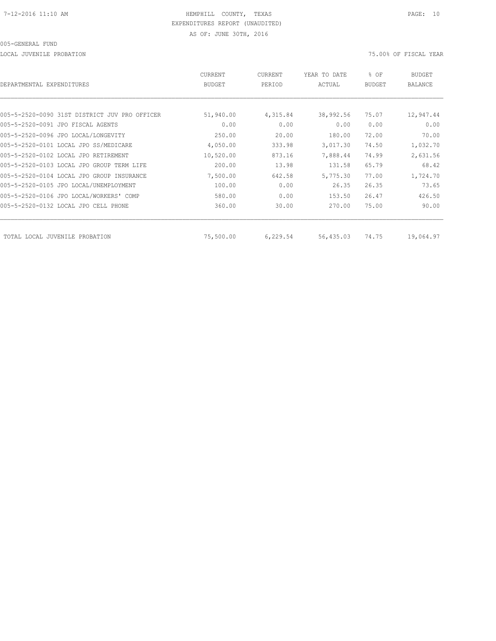LOCAL JUVENILE PROBATION 75.00% OF FISCAL YEAR

| DEPARTMENTAL EXPENDITURES                     | <b>CURRENT</b><br><b>BUDGET</b> | CURRENT<br>PERIOD | YEAR TO DATE<br>ACTUAL | % OF<br><b>BUDGET</b> | <b>BUDGET</b><br><b>BALANCE</b> |
|-----------------------------------------------|---------------------------------|-------------------|------------------------|-----------------------|---------------------------------|
|                                               |                                 |                   |                        |                       |                                 |
| 005-5-2520-0090 31ST DISTRICT JUV PRO OFFICER | 51,940.00                       | 4,315.84          | 38,992.56              | 75.07                 | 12,947.44                       |
| 005-5-2520-0091 JPO FISCAL AGENTS             | 0.00                            | 0.00              | 0.00                   | 0.00                  | 0.00                            |
| 005-5-2520-0096 JPO LOCAL/LONGEVITY           | 250.00                          | 20.00             | 180.00                 | 72.00                 | 70.00                           |
| 005-5-2520-0101 LOCAL JPO SS/MEDICARE         | 4,050.00                        | 333.98            | 3,017.30               | 74.50                 | 1,032.70                        |
| 005-5-2520-0102 LOCAL JPO RETIREMENT          | 10,520.00                       | 873.16            | 7,888.44               | 74.99                 | 2,631.56                        |
| 005-5-2520-0103 LOCAL JPO GROUP TERM LIFE     | 200.00                          | 13.98             | 131.58                 | 65.79                 | 68.42                           |
| 005-5-2520-0104 LOCAL JPO GROUP INSURANCE     | 7,500.00                        | 642.58            | 5,775.30               | 77.00                 | 1,724.70                        |
| 005-5-2520-0105 JPO LOCAL/UNEMPLOYMENT        | 100.00                          | 0.00              | 26.35                  | 26.35                 | 73.65                           |
| 005-5-2520-0106 JPO LOCAL/WORKERS' COMP       | 580.00                          | 0.00              | 153.50                 | 26.47                 | 426.50                          |
| 005-5-2520-0132 LOCAL JPO CELL PHONE          | 360.00                          | 30.00             | 270.00                 | 75.00                 | 90.00                           |
| TOTAL LOCAL JUVENILE PROBATION                | 75,500.00                       | 6,229.54          | 56,435.03              | 74.75                 | 19,064.97                       |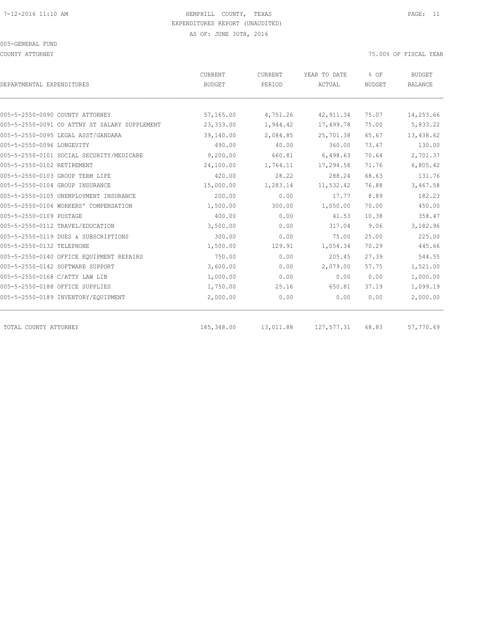COUNTY ATTORNEY 75.00% OF FISCAL YEAR

| DEPARTMENTAL EXPENDITURES                     | CURRENT<br><b>BUDGET</b> | CURRENT<br>PERIOD | YEAR TO DATE<br>ACTUAL | % OF<br><b>BUDGET</b> | <b>BUDGET</b><br><b>BALANCE</b> |
|-----------------------------------------------|--------------------------|-------------------|------------------------|-----------------------|---------------------------------|
|                                               |                          |                   |                        |                       |                                 |
| 005-5-2550-0090 COUNTY ATTORNEY               | 57,165.00                | 4,751.26          | 42, 911.34             | 75.07                 | 14,253.66                       |
| 005-5-2550-0091 CO ATTNY ST SALARY SUPPLEMENT | 23,333.00                | 1,944.42          | 17,499.78              | 75.00                 | 5,833.22                        |
| 005-5-2550-0095 LEGAL ASST/GANDARA            | 39,140.00                | 2,084.85          | 25,701.38              | 65.67                 | 13,438.62                       |
| 005-5-2550-0096 LONGEVITY                     | 490.00                   | 40.00             | 360.00                 | 73.47                 | 130.00                          |
| 005-5-2550-0101 SOCIAL SECURITY/MEDICARE      | 9,200.00                 | 660.81            | 6,498.63               | 70.64                 | 2,701.37                        |
| 005-5-2550-0102 RETIREMENT                    | 24,100.00                | 1,764.11          | 17,294.58              | 71.76                 | 6,805.42                        |
| 005-5-2550-0103 GROUP TERM LIFE               | 420.00                   | 28.22             | 288.24                 | 68.63                 | 131.76                          |
| 005-5-2550-0104 GROUP INSURANCE               | 15,000.00                | 1,283.14          | 11,532.42              | 76.88                 | 3,467.58                        |
| 005-5-2550-0105 UNEMPLOYMENT INSURANCE        | 200.00                   | 0.00              | 17.77                  | 8.89                  | 182.23                          |
| 005-5-2550-0106 WORKERS' COMPENSATION         | 1,500.00                 | 300.00            | 1,050.00               | 70.00                 | 450.00                          |
| 005-5-2550-0109 POSTAGE                       | 400.00                   | 0.00              | 41.53                  | 10.38                 | 358.47                          |
| 005-5-2550-0112 TRAVEL/EDUCATION              | 3,500.00                 | 0.00              | 317.04                 | 9.06                  | 3,182.96                        |
| 005-5-2550-0119 DUES & SUBSCRIPTIONS          | 300.00                   | 0.00              | 75.00                  | 25.00                 | 225.00                          |
| 005-5-2550-0132 TELEPHONE                     | 1,500.00                 | 129.91            | 1,054.34               | 70.29                 | 445.66                          |
| 005-5-2550-0140 OFFICE EQUIPMENT REPAIRS      | 750.00                   | 0.00              | 205.45                 | 27.39                 | 544.55                          |
| 005-5-2550-0142 SOFTWARE SUPPORT              | 3,600.00                 | 0.00              | 2,079.00               | 57.75                 | 1,521.00                        |
| 005-5-2550-0168 C/ATTY LAW LIB                | 1,000.00                 | 0.00              | 0.00                   | 0.00                  | 1,000.00                        |
| 005-5-2550-0188 OFFICE SUPPLIES               | 1,750.00                 | 25.16             | 650.81                 | 37.19                 | 1,099.19                        |
| 005-5-2550-0189 INVENTORY/EQUIPMENT           | 2,000.00                 | 0.00              | 0.00                   | 0.00                  | 2,000.00                        |
| TOTAL COUNTY ATTORNEY                         | 185,348.00               | 13,011.88         | 127,577.31             | 68.83                 | 57,770.69                       |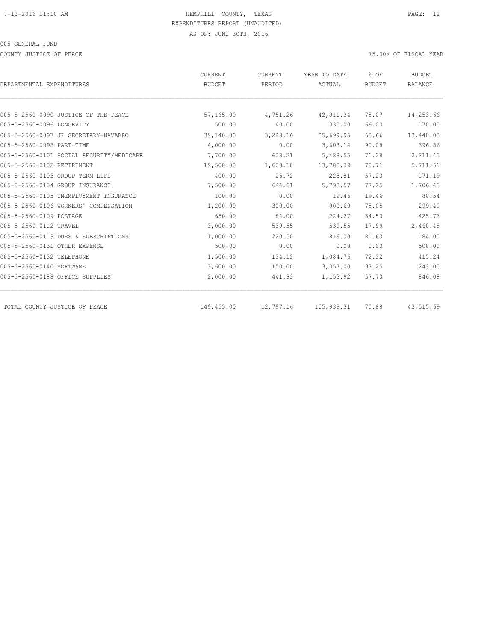COUNTY JUSTICE OF PEACE THE SERVICE OF PEACE AND TO A SERVICE THE SERVICE OF FISCAL YEAR OF FISCAL YEAR

|                                          | CURRENT       | CURRENT   | YEAR TO DATE  | % OF          | <b>BUDGET</b>  |
|------------------------------------------|---------------|-----------|---------------|---------------|----------------|
| DEPARTMENTAL EXPENDITURES                | <b>BUDGET</b> | PERIOD    | <b>ACTUAL</b> | <b>BUDGET</b> | <b>BALANCE</b> |
|                                          |               |           |               |               |                |
| 005-5-2560-0090 JUSTICE OF THE PEACE     | 57,165.00     | 4,751.26  | 42, 911.34    | 75.07         | 14,253.66      |
| 005-5-2560-0096 LONGEVITY                | 500.00        | 40.00     | 330.00        | 66.00         | 170.00         |
| 005-5-2560-0097 JP SECRETARY-NAVARRO     | 39,140.00     | 3,249.16  | 25,699.95     | 65.66         | 13,440.05      |
| 005-5-2560-0098 PART-TIME                | 4,000.00      | 0.00      | 3,603.14      | 90.08         | 396.86         |
| 005-5-2560-0101 SOCIAL SECURITY/MEDICARE | 7,700.00      | 608.21    | 5,488.55      | 71.28         | 2,211.45       |
| 005-5-2560-0102 RETIREMENT               | 19,500.00     | 1,608.10  | 13,788.39     | 70.71         | 5,711.61       |
| 005-5-2560-0103 GROUP TERM LIFE          | 400.00        | 25.72     | 228.81        | 57.20         | 171.19         |
| 005-5-2560-0104 GROUP INSURANCE          | 7,500.00      | 644.61    | 5,793.57      | 77.25         | 1,706.43       |
| 005-5-2560-0105 UNEMPLOYMENT INSURANCE   | 100.00        | 0.00      | 19.46         | 19.46         | 80.54          |
| 005-5-2560-0106 WORKERS' COMPENSATION    | 1,200.00      | 300.00    | 900.60        | 75.05         | 299.40         |
| 005-5-2560-0109 POSTAGE                  | 650.00        | 84.00     | 224.27        | 34.50         | 425.73         |
| 005-5-2560-0112 TRAVEL                   | 3,000.00      | 539.55    | 539.55        | 17.99         | 2,460.45       |
| 005-5-2560-0119 DUES & SUBSCRIPTIONS     | 1,000.00      | 220.50    | 816.00        | 81.60         | 184.00         |
| 005-5-2560-0131 OTHER EXPENSE            | 500.00        | 0.00      | 0.00          | 0.00          | 500.00         |
| 005-5-2560-0132 TELEPHONE                | 1,500.00      | 134.12    | 1,084.76      | 72.32         | 415.24         |
| 005-5-2560-0140 SOFTWARE                 | 3,600.00      | 150.00    | 3,357.00      | 93.25         | 243.00         |
| 005-5-2560-0188 OFFICE SUPPLIES          | 2,000.00      | 441.93    | 1,153.92      | 57.70         | 846.08         |
| TOTAL COUNTY JUSTICE OF PEACE            | 149,455.00    | 12,797.16 | 105,939.31    | 70.88         | 43,515.69      |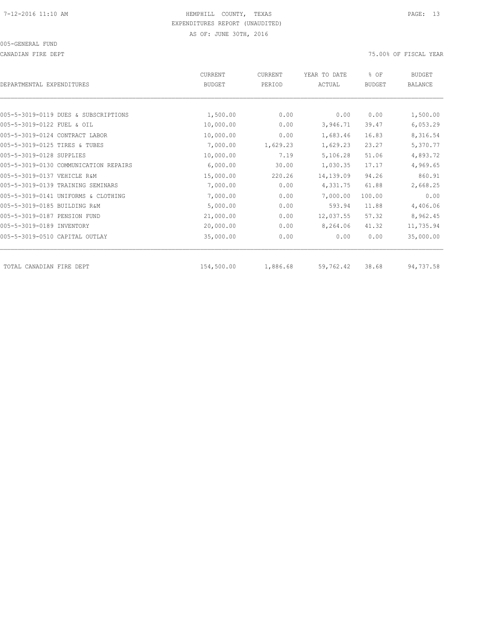CANADIAN FIRE DEPT 75.00% OF FISCAL YEAR

| DEPARTMENTAL EXPENDITURES             | <b>CURRENT</b><br><b>BUDGET</b> | <b>CURRENT</b><br>PERIOD | YEAR TO DATE<br>ACTUAL | % OF<br><b>BUDGET</b> | <b>BUDGET</b><br><b>BALANCE</b> |
|---------------------------------------|---------------------------------|--------------------------|------------------------|-----------------------|---------------------------------|
|                                       |                                 |                          |                        |                       |                                 |
| 005-5-3019-0119 DUES & SUBSCRIPTIONS  | 1,500.00                        | 0.00                     | 0.00                   | 0.00                  | 1,500.00                        |
| 005-5-3019-0122 FUEL & OIL            | 10,000.00                       | 0.00                     | 3,946.71               | 39.47                 | 6,053.29                        |
| 005-5-3019-0124 CONTRACT LABOR        | 10,000.00                       | 0.00                     | 1,683.46               | 16.83                 | 8,316.54                        |
| 005-5-3019-0125 TIRES & TUBES         | 7,000.00                        | 1,629.23                 | 1,629.23               | 23.27                 | 5,370.77                        |
| 005-5-3019-0128 SUPPLIES              | 10,000.00                       | 7.19                     | 5,106.28               | 51.06                 | 4,893.72                        |
| 005-5-3019-0130 COMMUNICATION REPAIRS | 6,000.00                        | 30.00                    | 1,030.35               | 17.17                 | 4,969.65                        |
| 005-5-3019-0137 VEHICLE R&M           | 15,000.00                       | 220.26                   | 14,139.09              | 94.26                 | 860.91                          |
| 005-5-3019-0139 TRAINING SEMINARS     | 7,000.00                        | 0.00                     | 4,331.75               | 61.88                 | 2,668.25                        |
| 005-5-3019-0141 UNIFORMS & CLOTHING   | 7,000.00                        | 0.00                     | 7,000.00               | 100.00                | 0.00                            |
| 005-5-3019-0185 BUILDING R&M          | 5,000.00                        | 0.00                     | 593.94                 | 11.88                 | 4,406.06                        |
| 005-5-3019-0187 PENSION FUND          | 21,000.00                       | 0.00                     | 12,037.55              | 57.32                 | 8,962.45                        |
| 005-5-3019-0189 INVENTORY             | 20,000.00                       | 0.00                     | 8,264.06               | 41.32                 | 11,735.94                       |
| 005-5-3019-0510 CAPITAL OUTLAY        | 35,000.00                       | 0.00                     | 0.00                   | 0.00                  | 35,000.00                       |
| TOTAL CANADIAN FIRE DEPT              | 154,500.00                      | 1,886.68                 | 59,762.42              | 38.68                 | 94,737.58                       |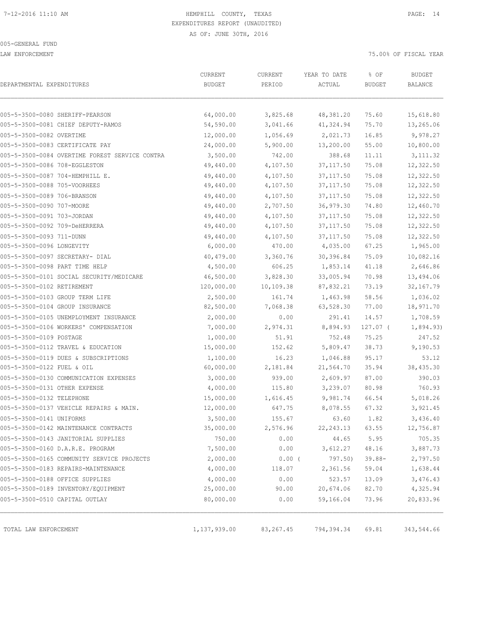LAW ENFORCEMENT 75.00% OF FISCAL YEAR

| DEPARTMENTAL EXPENDITURES                      | CURRENT<br><b>BUDGET</b> | CURRENT<br>PERIOD | YEAR TO DATE<br>ACTUAL | % OF<br><b>BUDGET</b> | <b>BUDGET</b><br>BALANCE |
|------------------------------------------------|--------------------------|-------------------|------------------------|-----------------------|--------------------------|
|                                                |                          |                   |                        |                       |                          |
| 005-5-3500-0080 SHERIFF-PEARSON                | 64,000.00                | 3,825.68          | 48,381.20              | 75.60                 | 15,618.80                |
| 005-5-3500-0081 CHIEF DEPUTY-RAMOS             | 54,590.00                | 3,041.66          | 41,324.94              | 75.70                 | 13,265.06                |
| 005-5-3500-0082 OVERTIME                       | 12,000.00                | 1,056.69          | 2,021.73               | 16.85                 | 9,978.27                 |
| 005-5-3500-0083 CERTIFICATE PAY                | 24,000.00                | 5,900.00          | 13,200.00              | 55.00                 | 10,800.00                |
| 005-5-3500-0084 OVERTIME FOREST SERVICE CONTRA | 3,500.00                 | 742.00            | 388.68                 | 11.11                 | 3, 111.32                |
| 005-5-3500-0086 708-EGGLESTON                  | 49,440.00                | 4,107.50          | 37, 117.50             | 75.08                 | 12,322.50                |
| 005-5-3500-0087 704-HEMPHILL E.                | 49,440.00                | 4,107.50          | 37, 117.50             | 75.08                 | 12,322.50                |
| 005-5-3500-0088 705-VOORHEES                   | 49,440.00                | 4,107.50          | 37, 117.50             | 75.08                 | 12,322.50                |
| 005-5-3500-0089 706-BRANSON                    | 49,440.00                | 4,107.50          | 37, 117.50             | 75.08                 | 12,322.50                |
| 005-5-3500-0090 707-MOORE                      | 49,440.00                | 2,707.50          | 36,979.30              | 74.80                 | 12,460.70                |
| 005-5-3500-0091 703-JORDAN                     | 49,440.00                | 4,107.50          | 37, 117.50             | 75.08                 | 12,322.50                |
| 005-5-3500-0092 709-DeHERRERA                  | 49,440.00                | 4,107.50          | 37, 117.50             | 75.08                 | 12,322.50                |
| 005-5-3500-0093 711-DUNN                       | 49,440.00                | 4,107.50          | 37, 117.50             | 75.08                 | 12,322.50                |
| 005-5-3500-0096 LONGEVITY                      | 6,000.00                 | 470.00            | 4,035.00               | 67.25                 | 1,965.00                 |
| 005-5-3500-0097 SECRETARY- DIAL                | 40,479.00                | 3,360.76          | 30,396.84              | 75.09                 | 10,082.16                |
| 005-5-3500-0098 PART TIME HELP                 | 4,500.00                 | 606.25            | 1,853.14               | 41.18                 | 2,646.86                 |
| 005-5-3500-0101 SOCIAL SECURITY/MEDICARE       | 46,500.00                | 3,828.30          | 33,005.94              | 70.98                 | 13,494.06                |
| 005-5-3500-0102 RETIREMENT                     | 120,000.00               | 10,109.38         | 87,832.21              | 73.19                 | 32, 167.79               |
| 005-5-3500-0103 GROUP TERM LIFE                | 2,500.00                 | 161.74            | 1,463.98               | 58.56                 | 1,036.02                 |
| 005-5-3500-0104 GROUP INSURANCE                | 82,500.00                | 7,068.38          | 63,528.30              | 77.00                 | 18,971.70                |
| 005-5-3500-0105 UNEMPLOYMENT INSURANCE         | 2,000.00                 | 0.00              | 291.41                 | 14.57                 | 1,708.59                 |
| 005-5-3500-0106 WORKERS' COMPENSATION          | 7,000.00                 | 2,974.31          | 8,894.93               | 127.07 (              | 1,894.93)                |
| 005-5-3500-0109 POSTAGE                        | 1,000.00                 | 51.91             | 752.48                 | 75.25                 | 247.52                   |
| 005-5-3500-0112 TRAVEL & EDUCATION             | 15,000.00                | 152.62            | 5,809.47               | 38.73                 | 9,190.53                 |
| 005-5-3500-0119 DUES & SUBSCRIPTIONS           | 1,100.00                 | 16.23             | 1,046.88               | 95.17                 | 53.12                    |
| 005-5-3500-0122 FUEL & OIL                     | 60,000.00                | 2,181.84          | 21,564.70              | 35.94                 | 38,435.30                |
| 005-5-3500-0130 COMMUNICATION EXPENSES         | 3,000.00                 | 939.00            | 2,609.97               | 87.00                 | 390.03                   |
| 005-5-3500-0131 OTHER EXPENSE                  | 4,000.00                 | 115.80            | 3,239.07               | 80.98                 | 760.93                   |
| 005-5-3500-0132 TELEPHONE                      | 15,000.00                | 1,616.45          | 9,981.74               | 66.54                 | 5,018.26                 |
| 005-5-3500-0137 VEHICLE REPAIRS & MAIN.        | 12,000.00                | 647.75            | 8,078.55               | 67.32                 | 3,921.45                 |
| 005-5-3500-0141 UNIFORMS                       | 3,500.00                 | 155.67            | 63.60                  | 1.82                  | 3,436.40                 |
| 005-5-3500-0142 MAINTENANCE CONTRACTS          | 35,000.00                | 2,576.96          | 22, 243.13             | 63.55                 | 12,756.87                |
| 005-5-3500-0143 JANITORIAL SUPPLIES            | 750.00                   | 0.00              | 44.65                  | 5.95                  | 705.35                   |
| 005-5-3500-0160 D.A.R.E. PROGRAM               | 7,500.00                 | 0.00              | 3,612.27               | 48.16                 | 3,887.73                 |
| 005-5-3500-0165 COMMUNITY SERVICE PROJECTS     | 2,000.00                 | $0.00$ (          | 797.50)                | $39.88 -$             | 2,797.50                 |
| 005-5-3500-0183 REPAIRS-MAINTENANCE            | 4,000.00                 | 118.07            | 2,361.56               | 59.04                 | 1,638.44                 |
| 005-5-3500-0188 OFFICE SUPPLIES                | 4,000.00                 | 0.00              | 523.57                 | 13.09                 | 3,476.43                 |
| 005-5-3500-0189 INVENTORY/EQUIPMENT            | 25,000.00                | 90.00             | 20,674.06              | 82.70                 | 4,325.94                 |
| 005-5-3500-0510 CAPITAL OUTLAY                 | 80,000.00                | 0.00              | 59,166.04              | 73.96                 | 20,833.96                |
|                                                |                          |                   |                        |                       |                          |
| TOTAL LAW ENFORCEMENT                          | 1,137,939.00             | 83,267.45         | 794,394.34             | 69.81                 | 343,544.66               |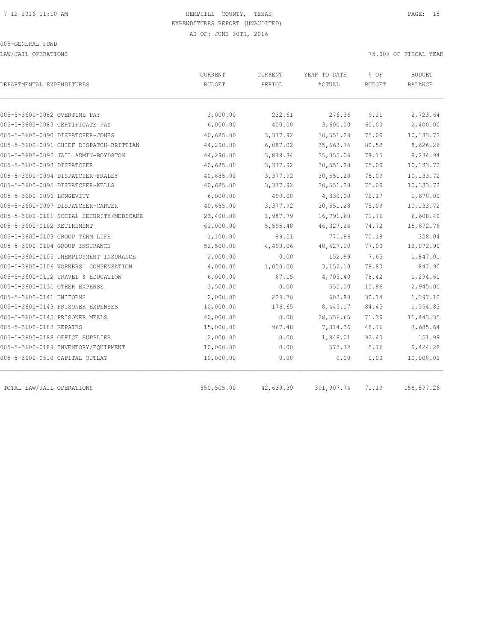LAW/JAIL OPERATIONS 75.00% OF FISCAL YEAR

|                                          | <b>CURRENT</b> | <b>CURRENT</b> | YEAR TO DATE | % OF          | <b>BUDGET</b>  |  |
|------------------------------------------|----------------|----------------|--------------|---------------|----------------|--|
| DEPARTMENTAL EXPENDITURES                | <b>BUDGET</b>  | PERIOD         | ACTUAL       | <b>BUDGET</b> | <b>BALANCE</b> |  |
|                                          |                |                |              |               |                |  |
| 005-5-3600-0082 OVERTIME PAY             | 3,000.00       | 232.61         | 276.36       | 9.21          | 2,723.64       |  |
| 005-5-3600-0083 CERTIFICATE PAY          | 6,000.00       | 400.00         | 3,600.00     | 60.00         | 2,400.00       |  |
| 005-5-3600-0090 DISPATCHER-JONES         | 40,685.00      | 3,377.92       | 30,551.28    | 75.09         | 10,133.72      |  |
| 005-5-3600-0091 CHIEF DISPATCH-BRITTIAN  | 44,290.00      | 6,087.02       | 35,663.74    | 80.52         | 8,626.26       |  |
| 005-5-3600-0092 JAIL ADMIN-BOYDSTON      | 44,290.00      | 3,878.34       | 35,055.06    | 79.15         | 9,234.94       |  |
| 005-5-3600-0093 DISPATCHER               | 40,685.00      | 3,377.92       | 30,551.28    | 75.09         | 10,133.72      |  |
| 005-5-3600-0094 DISPATCHER-FRALEY        | 40,685.00      | 3,377.92       | 30,551.28    | 75.09         | 10,133.72      |  |
| 005-5-3600-0095 DISPATCHER-KELLS         | 40,685.00      | 3,377.92       | 30,551.28    | 75.09         | 10,133.72      |  |
| 005-5-3600-0096 LONGEVITY                | 6,000.00       | 490.00         | 4,330.00     | 72.17         | 1,670.00       |  |
| 005-5-3600-0097 DISPATCHER-CARTER        | 40,685.00      | 3,377.92       | 30,551.28    | 75.09         | 10,133.72      |  |
| 005-5-3600-0101 SOCIAL SECURITY/MEDICARE | 23,400.00      | 1,987.79       | 16,791.60    | 71.76         | 6,608.40       |  |
| 005-5-3600-0102 RETIREMENT               | 62,000.00      | 5,595.48       | 46, 327.24   | 74.72         | 15,672.76      |  |
| 005-5-3600-0103 GROUP TERM LIFE          | 1,100.00       | 89.51          | 771.96       | 70.18         | 328.04         |  |
| 005-5-3600-0104 GROUP INSURANCE          | 52,500.00      | 4,498.06       | 40, 427.10   | 77.00         | 12,072.90      |  |
| 005-5-3600-0105 UNEMPLOYMENT INSURANCE   | 2,000.00       | 0.00           | 152.99       | 7.65          | 1,847.01       |  |
| 005-5-3600-0106 WORKERS' COMPENSATION    | 4,000.00       | 1,050.00       | 3,152.10     | 78.80         | 847.90         |  |
| 005-5-3600-0112 TRAVEL & EDUCATION       | 6,000.00       | 67.15          | 4,705.40     | 78.42         | 1,294.60       |  |
| 005-5-3600-0131 OTHER EXPENSE            | 3,500.00       | 0.00           | 555.00       | 15.86         | 2,945.00       |  |
| 005-5-3600-0141 UNIFORMS                 | 2,000.00       | 229.70         | 602.88       | 30.14         | 1,397.12       |  |
| 005-5-3600-0143 PRISONER EXPENSES        | 10,000.00      | 176.65         | 8,445.17     | 84.45         | 1,554.83       |  |
| 005-5-3600-0145 PRISONER MEALS           | 40,000.00      | 0.00           | 28,556.65    | 71.39         | 11,443.35      |  |
| 005-5-3600-0183 REPAIRS                  | 15,000.00      | 967.48         | 7,314.36     | 48.76         | 7,685.64       |  |
| 005-5-3600-0188 OFFICE SUPPLIES          | 2,000.00       | 0.00           | 1,848.01     | 92.40         | 151.99         |  |
| 005-5-3600-0189 INVENTORY/EQUIPMENT      | 10,000.00      | 0.00           | 575.72       | 5.76          | 9,424.28       |  |
| 005-5-3600-0510 CAPITAL OUTLAY           | 10,000.00      | 0.00           | 0.00         | 0.00          | 10,000.00      |  |
| TOTAL LAW/JAIL OPERATIONS                | 550,505.00     | 42,639.39      | 391,907.74   | 71.19         | 158,597.26     |  |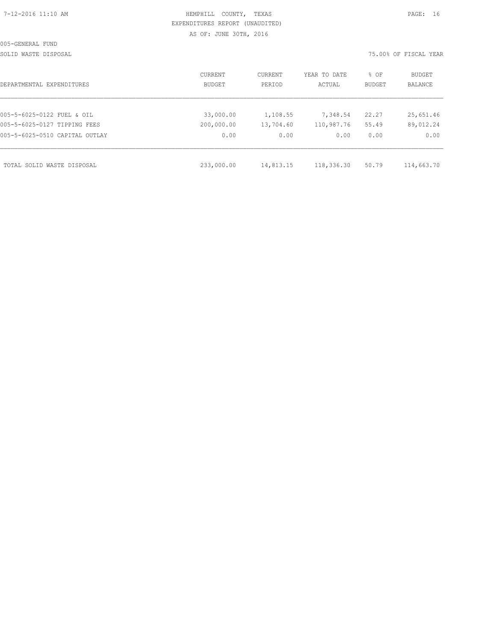# HEMPHILL COUNTY, TEXAS **PAGE:** 16 EXPENDITURES REPORT (UNAUDITED) AS OF: JUNE 30TH, 2016

SOLID WASTE DISPOSAL 75.00% OF FISCAL YEAR

| DEPARTMENTAL EXPENDITURES      | CURRENT<br>BUDGET | CURRENT<br>PERIOD | YEAR TO DATE<br>ACTUAL | % OF<br><b>BUDGET</b> | BUDGET<br><b>BALANCE</b> |
|--------------------------------|-------------------|-------------------|------------------------|-----------------------|--------------------------|
|                                |                   |                   |                        |                       |                          |
| 005-5-6025-0122 FUEL & OIL     | 33,000.00         | 1,108.55          | 7,348.54               | 22.27                 | 25,651.46                |
| 005-5-6025-0127 TIPPING FEES   | 200,000.00        | 13,704.60         | 110,987.76             | 55.49                 | 89,012.24                |
| 005-5-6025-0510 CAPITAL OUTLAY | 0.00              | 0.00              | 0.00                   | 0.00                  | 0.00                     |
|                                |                   |                   |                        |                       |                          |
| TOTAL SOLID WASTE DISPOSAL     | 233,000.00        | 14,813.15         | 118,336.30             | 50.79                 | 114,663.70               |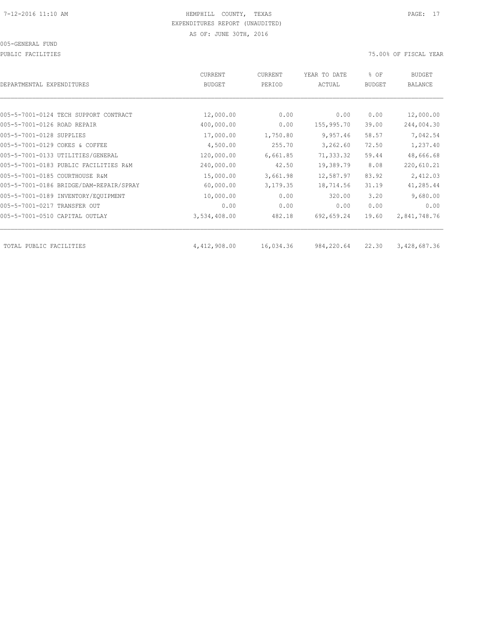PUBLIC FACILITIES 75.00% OF FISCAL YEAR

| DEPARTMENTAL EXPENDITURES               | <b>CURRENT</b><br>BUDGET | CURRENT<br>PERIOD | YEAR TO DATE<br>ACTUAL | % OF<br><b>BUDGET</b> | <b>BUDGET</b><br>BALANCE |
|-----------------------------------------|--------------------------|-------------------|------------------------|-----------------------|--------------------------|
|                                         |                          |                   |                        |                       |                          |
| 005-5-7001-0124 TECH SUPPORT CONTRACT   | 12,000.00                | 0.00              | 0.00                   | 0.00                  | 12,000.00                |
| 005-5-7001-0126 ROAD REPAIR             | 400,000.00               | 0.00              | 155,995.70             | 39.00                 | 244,004.30               |
| 005-5-7001-0128 SUPPLIES                | 17,000.00                | 1,750.80          | 9,957.46               | 58.57                 | 7,042.54                 |
| 005-5-7001-0129 COKES & COFFEE          | 4,500.00                 | 255.70            | 3,262.60               | 72.50                 | 1,237.40                 |
| 005-5-7001-0133 UTILITIES/GENERAL       | 120,000.00               | 6,661.85          | 71,333.32              | 59.44                 | 48,666.68                |
| 005-5-7001-0183 PUBLIC FACILITIES R&M   | 240,000.00               | 42.50             | 19,389.79              | 8.08                  | 220,610.21               |
| 005-5-7001-0185 COURTHOUSE R&M          | 15,000.00                | 3,661.98          | 12,587.97              | 83.92                 | 2,412.03                 |
| 005-5-7001-0186 BRIDGE/DAM-REPAIR/SPRAY | 60,000.00                | 3,179.35          | 18,714.56              | 31.19                 | 41,285.44                |
| 005-5-7001-0189 INVENTORY/EQUIPMENT     | 10,000.00                | 0.00              | 320.00                 | 3.20                  | 9,680.00                 |
| 005-5-7001-0217 TRANSFER OUT            | 0.00                     | 0.00              | 0.00                   | 0.00                  | 0.00                     |
| 005-5-7001-0510 CAPITAL OUTLAY          | 3,534,408.00             | 482.18            | 692,659.24             | 19.60                 | 2,841,748.76             |
|                                         |                          |                   |                        |                       |                          |
| TOTAL PUBLIC FACILITIES                 | 4,412,908.00             | 16,034.36         | 984,220.64             | 22,30                 | 3,428,687.36             |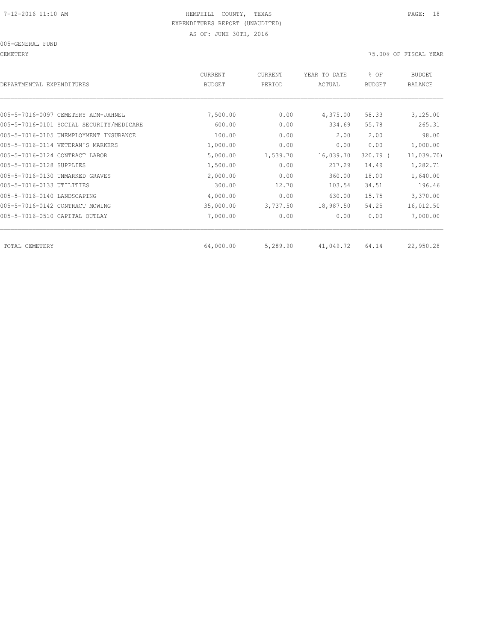005-GENERAL FUND

CEMETERY 75.00% OF FISCAL YEAR

| DEPARTMENTAL EXPENDITURES                | <b>CURRENT</b><br><b>BUDGET</b> | CURRENT<br>PERIOD | YEAR TO DATE<br>ACTUAL | % OF<br><b>BUDGET</b> | <b>BUDGET</b><br><b>BALANCE</b> |
|------------------------------------------|---------------------------------|-------------------|------------------------|-----------------------|---------------------------------|
|                                          |                                 |                   |                        |                       |                                 |
| 005-5-7016-0097 CEMETERY ADM-JAHNEL      | 7,500.00                        | 0.00              | 4,375.00               | 58.33                 | 3,125.00                        |
| 005-5-7016-0101 SOCIAL SECURITY/MEDICARE | 600.00                          | 0.00              | 334.69                 | 55.78                 | 265.31                          |
| 005-5-7016-0105 UNEMPLOYMENT INSURANCE   | 100.00                          | 0.00              | 2.00                   | 2.00                  | 98.00                           |
| 005-5-7016-0114 VETERAN'S MARKERS        | 1,000.00                        | 0.00              | 0.00                   | 0.00                  | 1,000.00                        |
| 005-5-7016-0124 CONTRACT LABOR           | 5,000.00                        | 1,539.70          | 16,039.70              | $320.79$ (            | 11,039.70)                      |
| 005-5-7016-0128 SUPPLIES                 | 1,500.00                        | 0.00              | 217.29                 | 14.49                 | 1,282.71                        |
| 005-5-7016-0130 UNMARKED GRAVES          | 2,000.00                        | 0.00              | 360.00                 | 18.00                 | 1,640.00                        |
| 005-5-7016-0133 UTILITIES                | 300.00                          | 12.70             | 103.54                 | 34.51                 | 196.46                          |
| 005-5-7016-0140 LANDSCAPING              | 4,000.00                        | 0.00              | 630.00                 | 15.75                 | 3,370.00                        |
| 005-5-7016-0142 CONTRACT MOWING          | 35,000.00                       | 3,737.50          | 18,987.50              | 54.25                 | 16,012.50                       |
| 005-5-7016-0510 CAPITAL OUTLAY           | 7,000.00                        | 0.00              | 0.00                   | 0.00                  | 7,000.00                        |
| TOTAL CEMETERY                           | 64,000.00                       | 5,289.90          | 41,049.72              | 64.14                 | 22,950.28                       |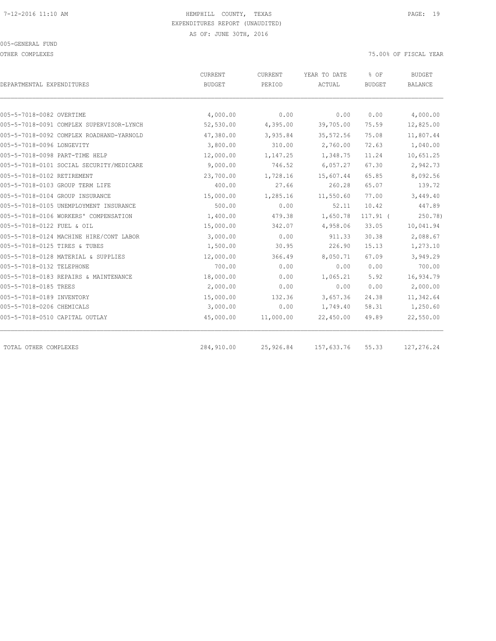OTHER COMPLEXES 75.00% OF FISCAL YEAR

|                                          | CURRENT       | CURRENT   | YEAR TO DATE | % OF          | <b>BUDGET</b>  |
|------------------------------------------|---------------|-----------|--------------|---------------|----------------|
| DEPARTMENTAL EXPENDITURES                | <b>BUDGET</b> | PERIOD    | ACTUAL       | <b>BUDGET</b> | <b>BALANCE</b> |
|                                          |               |           |              |               |                |
| 005-5-7018-0082 OVERTIME                 | 4,000.00      | 0.00      | 0.00         | 0.00          | 4,000.00       |
| 005-5-7018-0091 COMPLEX SUPERVISOR-LYNCH | 52,530.00     | 4,395.00  | 39,705.00    | 75.59         | 12,825.00      |
| 005-5-7018-0092 COMPLEX ROADHAND-YARNOLD | 47,380.00     | 3,935.84  | 35, 572.56   | 75.08         | 11,807.44      |
| 005-5-7018-0096 LONGEVITY                | 3,800.00      | 310.00    | 2,760.00     | 72.63         | 1,040.00       |
| 005-5-7018-0098 PART-TIME HELP           | 12,000.00     | 1,147.25  | 1,348.75     | 11.24         | 10,651.25      |
| 005-5-7018-0101 SOCIAL SECURITY/MEDICARE | 9,000.00      | 746.52    | 6,057.27     | 67.30         | 2,942.73       |
| 005-5-7018-0102 RETIREMENT               | 23,700.00     | 1,728.16  | 15,607.44    | 65.85         | 8,092.56       |
| 005-5-7018-0103 GROUP TERM LIFE          | 400.00        | 27.66     | 260.28       | 65.07         | 139.72         |
| 005-5-7018-0104 GROUP INSURANCE          | 15,000.00     | 1,285.16  | 11,550.60    | 77.00         | 3,449.40       |
| 005-5-7018-0105 UNEMPLOYMENT INSURANCE   | 500.00        | 0.00      | 52.11        | 10.42         | 447.89         |
| 005-5-7018-0106 WORKERS' COMPENSATION    | 1,400.00      | 479.38    | 1,650.78     | $117.91$ (    | 250.78)        |
| 005-5-7018-0122 FUEL & OIL               | 15,000.00     | 342.07    | 4,958.06     | 33.05         | 10,041.94      |
| 005-5-7018-0124 MACHINE HIRE/CONT LABOR  | 3,000.00      | 0.00      | 911.33       | 30.38         | 2,088.67       |
| 005-5-7018-0125 TIRES & TUBES            | 1,500.00      | 30.95     | 226.90       | 15.13         | 1,273.10       |
| 005-5-7018-0128 MATERIAL & SUPPLIES      | 12,000.00     | 366.49    | 8,050.71     | 67.09         | 3,949.29       |
| 005-5-7018-0132 TELEPHONE                | 700.00        | 0.00      | 0.00         | 0.00          | 700.00         |
| 005-5-7018-0183 REPAIRS & MAINTENANCE    | 18,000.00     | 0.00      | 1,065.21     | 5.92          | 16,934.79      |
| 005-5-7018-0185 TREES                    | 2,000.00      | 0.00      | 0.00         | 0.00          | 2,000.00       |
| 005-5-7018-0189 INVENTORY                | 15,000.00     | 132.36    | 3,657.36     | 24.38         | 11,342.64      |
| 005-5-7018-0206 CHEMICALS                | 3,000.00      | 0.00      | 1,749.40     | 58.31         | 1,250.60       |
| 005-5-7018-0510 CAPITAL OUTLAY           | 45,000.00     | 11,000.00 | 22,450.00    | 49.89         | 22,550.00      |
| TOTAL OTHER COMPLEXES                    | 284,910.00    | 25,926.84 | 157,633.76   | 55.33         | 127,276.24     |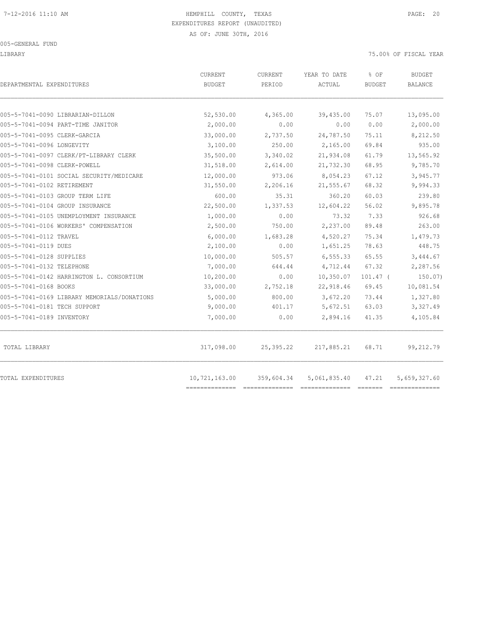LIBRARY 75.00% OF FISCAL YEAR

| DEPARTMENTAL EXPENDITURES                   | <b>CURRENT</b><br>BUDGET | <b>CURRENT</b><br>PERIOD | YEAR TO DATE<br>ACTUAL | % OF<br><b>BUDGET</b> | BUDGET<br>BALANCE |
|---------------------------------------------|--------------------------|--------------------------|------------------------|-----------------------|-------------------|
| 005-5-7041-0090 LIBRARIAN-DILLON            | 52,530.00                | 4,365.00                 | 39,435.00              | 75.07                 | 13,095.00         |
| 005-5-7041-0094 PART-TIME JANITOR           | 2,000.00                 | 0.00                     | 0.00                   | 0.00                  | 2,000.00          |
| 005-5-7041-0095 CLERK-GARCIA                | 33,000.00                | 2,737.50                 | 24,787.50              | 75.11                 | 8,212.50          |
| 005-5-7041-0096 LONGEVITY                   | 3,100.00                 | 250.00                   | 2,165.00               | 69.84                 | 935.00            |
| 005-5-7041-0097 CLERK/PT-LIBRARY CLERK      | 35,500.00                | 3,340.02                 | 21,934.08              | 61.79                 | 13,565.92         |
| 005-5-7041-0098 CLERK-POWELL                | 31,518.00                | 2,614.00                 | 21,732.30              | 68.95                 | 9,785.70          |
| 005-5-7041-0101 SOCIAL SECURITY/MEDICARE    | 12,000.00                | 973.06                   | 8,054.23               | 67.12                 | 3,945.77          |
| 005-5-7041-0102 RETIREMENT                  | 31,550.00                | 2,206.16                 | 21,555.67              | 68.32                 | 9,994.33          |
| 005-5-7041-0103 GROUP TERM LIFE             | 600.00                   | 35.31                    | 360.20                 | 60.03                 | 239.80            |
| 005-5-7041-0104 GROUP INSURANCE             | 22,500.00                | 1,337.53                 | 12,604.22              | 56.02                 | 9,895.78          |
| 005-5-7041-0105 UNEMPLOYMENT INSURANCE      | 1,000.00                 | 0.00                     | 73.32                  | 7.33                  | 926.68            |
| 005-5-7041-0106 WORKERS' COMPENSATION       | 2,500.00                 | 750.00                   | 2,237.00               | 89.48                 | 263.00            |
| 005-5-7041-0112 TRAVEL                      | 6,000.00                 | 1,683.28                 | 4,520.27               | 75.34                 | 1,479.73          |
| 005-5-7041-0119 DUES                        | 2,100.00                 | 0.00                     | 1,651.25               | 78.63                 | 448.75            |
| 005-5-7041-0128 SUPPLIES                    | 10,000.00                | 505.57                   | 6,555.33               | 65.55                 | 3,444.67          |
| 005-5-7041-0132 TELEPHONE                   | 7,000.00                 | 644.44                   | 4,712.44               | 67.32                 | 2,287.56          |
| 005-5-7041-0142 HARRINGTON L. CONSORTIUM    | 10,200.00                | 0.00                     | 10,350.07              | $101.47$ (            | 150.07)           |
| 005-5-7041-0168 BOOKS                       | 33,000.00                | 2,752.18                 | 22,918.46              | 69.45                 | 10,081.54         |
| 005-5-7041-0169 LIBRARY MEMORIALS/DONATIONS | 5,000.00                 | 800.00                   | 3,672.20               | 73.44                 | 1,327.80          |
| 005-5-7041-0181 TECH SUPPORT                | 9,000.00                 | 401.17                   | 5,672.51               | 63.03                 | 3,327.49          |
| 005-5-7041-0189 INVENTORY                   | 7,000.00                 | 0.00                     | 2,894.16               | 41.35                 | 4,105.84          |
| TOTAL LIBRARY                               | 317,098.00               | 25,395.22                | 217,885.21             | 68.71                 | 99,212.79         |
| TOTAL EXPENDITURES                          | 10,721,163.00            | 359,604.34               | 5,061,835.40           | 47.21                 | 5,659,327.60      |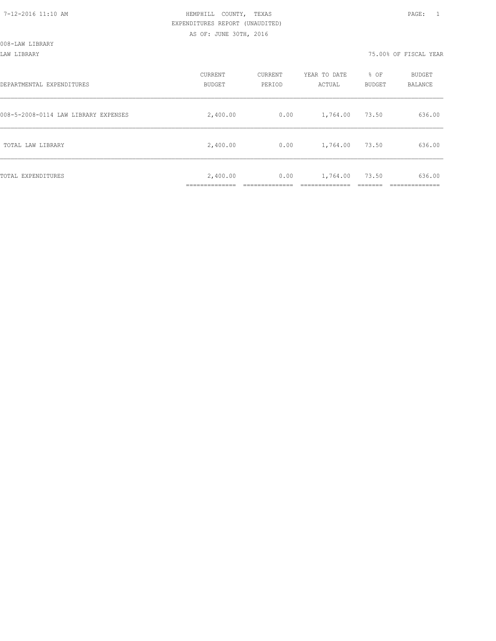LAW LIBRARY 75.00% OF FISCAL YEAR

| DEPARTMENTAL EXPENDITURES            | CURRENT<br><b>BUDGET</b> | CURRENT<br>PERIOD | YEAR TO DATE<br>ACTUAL | % OF<br>BUDGET | BUDGET<br>BALANCE |
|--------------------------------------|--------------------------|-------------------|------------------------|----------------|-------------------|
| 008-5-2008-0114 LAW LIBRARY EXPENSES | 2,400.00                 | 0.00              | 1,764.00               | 73.50          | 636.00            |
| TOTAL LAW LIBRARY                    | 2,400.00                 | 0.00              | 1,764.00               | 73.50          | 636.00            |
| TOTAL EXPENDITURES                   | 2,400.00                 | 0.00              | 1,764.00               | 73.50          | 636.00            |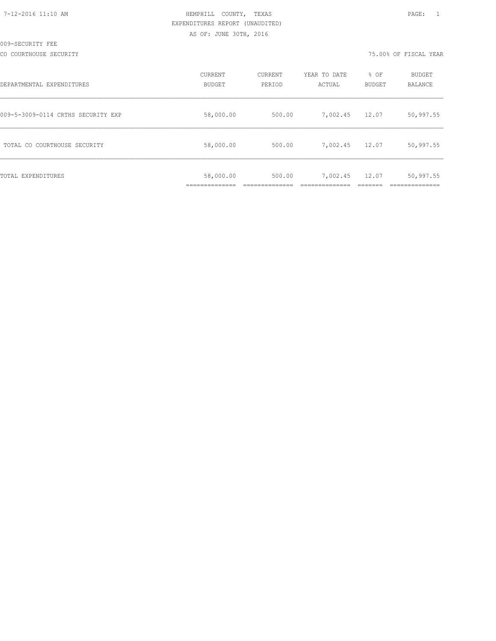CO COURTHOUSE SECURITY 75.00% OF FISCAL YEAR

| DEPARTMENTAL EXPENDITURES          | CURRENT<br><b>BUDGET</b> | CURRENT<br>PERIOD | YEAR TO DATE<br>ACTUAL | % OF<br><b>BUDGET</b> | <b>BUDGET</b><br><b>BALANCE</b> |
|------------------------------------|--------------------------|-------------------|------------------------|-----------------------|---------------------------------|
| 009-5-3009-0114 CRTHS SECURITY EXP | 58,000.00                | 500.00            | 7,002.45               | 12.07                 | 50,997.55                       |
| TOTAL CO COURTHOUSE SECURITY       | 58,000.00                | 500.00            | 7,002.45               | 12.07                 | 50,997.55                       |
| TOTAL EXPENDITURES                 | 58,000.00                | 500.00            | 7,002.45               | 12.07                 | 50,997.55                       |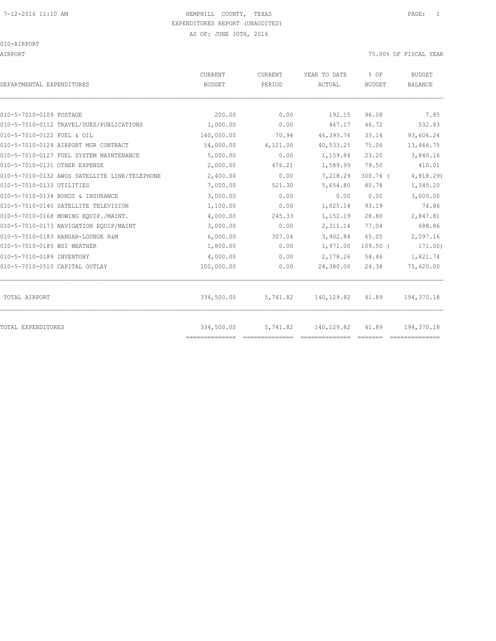# 7-12-2016 11:10 AM HEMPHILL COUNTY, TEXAS PAGE: 1 EXPENDITURES REPORT (UNAUDITED)

AS OF: JUNE 30TH, 2016

010-AIRPORT

AIRPORT 75.00% OF FISCAL YEAR

| DEPARTMENTAL EXPENDITURES                     | CURRENT<br><b>BUDGET</b>     | CURRENT<br>PERIOD | YEAR TO DATE<br>ACTUAL | % OF<br><b>BUDGET</b> | <b>BUDGET</b><br>BALANCE |
|-----------------------------------------------|------------------------------|-------------------|------------------------|-----------------------|--------------------------|
|                                               |                              |                   |                        |                       |                          |
| 010-5-7010-0109 POSTAGE                       | 200.00                       | 0.00              | 192.15                 | 96.08                 | 7.85                     |
| 010-5-7010-0112 TRAVEL/DUES/PUBLICATIONS      | 1,000.00                     | 0.00              | 467.17                 | 46.72                 | 532.83                   |
| 010-5-7010-0122 FUEL & OIL                    | 140,000.00                   | 70.94             | 46, 393.76             | 33.14                 | 93,606.24                |
| 010-5-7010-0124 AIRPORT MGR CONTRACT          | 54,000.00                    | 4,121.00          | 40,533.25              | 75.06                 | 13,466.75                |
| 010-5-7010-0127 FUEL SYSTEM MAINTENANCE       | 5,000.00                     | 0.00              | 1,159.84               | 23.20                 | 3,840.16                 |
| 010-5-7010-0131 OTHER EXPENSE                 | 2,000.00                     | 476.21            | 1,589.99               | 79.50                 | 410.01                   |
| 010-5-7010-0132 AWOS SATELLITE LINK/TELEPHONE | 2,400.00                     | 0.00              | 7,218.29               | $300.76$ (            | 4,818.29)                |
| 010-5-7010-0133 UTILITIES                     | 7,000.00                     | 521.30            | 5,654.80               | 80.78                 | 1,345.20                 |
| 010-5-7010-0134 BONDS & INSURANCE             | 3,000.00                     | 0.00              | 0.00                   | 0.00                  | 3,000.00                 |
| 010-5-7010-0140 SATELLITE TELEVISION          | 1,100.00                     | 0.00              | 1,025.14               | 93.19                 | 74.86                    |
| 010-5-7010-0168 MOWING EOUIP./MAINT.          | 4,000.00                     | 245.33            | 1,152.19               | 28.80                 | 2,847.81                 |
| 010-5-7010-0173 NAVIGATION EQUIP/MAINT        | 3,000.00                     | 0.00              | 2,311.14               | 77.04                 | 688.86                   |
| 010-5-7010-0183 HANGAR-LOUNGE R&M             | 6,000.00                     | 307.04            | 3,902.84               | 65.05                 | 2,097.16                 |
| 010-5-7010-0185 WSI WEATHER                   | 1,800.00                     | 0.00              | 1,971.00               | $109.50$ (            | 171.00)                  |
| 010-5-7010-0189 INVENTORY                     | 4,000.00                     | 0.00              | 2,178.26               | 54.46                 | 1,821.74                 |
| 010-5-7010-0510 CAPITAL OUTLAY                | 100,000.00                   | 0.00              | 24,380.00              | 24.38                 | 75,620.00                |
| TOTAL AIRPORT                                 | 334,500.00                   | 5,741.82          | 140, 129.82            | 41.89                 | 194,370.18               |
| TOTAL EXPENDITURES                            | 334,500.00<br>============== | 5,741.82          | 140,129.82             | 41.89                 | 194,370.18               |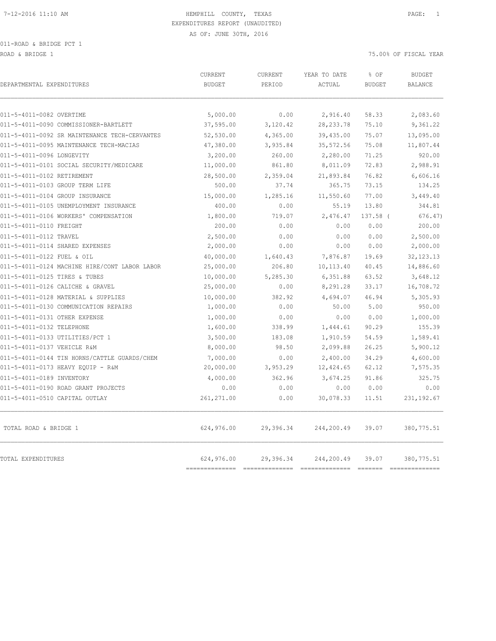011-ROAD & BRIDGE PCT 1

ROAD & BRIDGE 1 75.00% OF FISCAL YEAR

| 011-5-4011-0082 OVERTIME<br>5,000.00<br>0.00<br>2,916.40<br>58.33<br>37,595.00<br>3,120.42<br>28, 233.78<br>011-5-4011-0090 COMMISSIONER-BARTLETT<br>75.10<br>52,530.00<br>4,365.00<br>39,435.00<br>75.07<br>011-5-4011-0092 SR MAINTENANCE TECH-CERVANTES<br>47,380.00<br>3,935.84<br>35, 572.56<br>75.08<br>3,200.00<br>260.00<br>2,280.00<br>71.25<br>11,000.00<br>861.80<br>8,011.09<br>72.83<br>28,500.00<br>21,893.84<br>76.82<br>011-5-4011-0102 RETIREMENT<br>2,359.04<br>011-5-4011-0103 GROUP TERM LIFE<br>500.00<br>73.15<br>37.74<br>365.75<br>15,000.00<br>1,285.16<br>11,550.60<br>77.00<br>400.00<br>0.00<br>55.19<br>13.80<br>1,800.00<br>719.07<br>2,476.47<br>137.58 (<br>0.00<br>200.00<br>0.00<br>0.00<br>2,500.00<br>0.00<br>0.00<br>0.00<br>011-5-4011-0114 SHARED EXPENSES<br>2,000.00<br>0.00<br>0.00<br>0.00<br>40,000.00<br>7,876.87<br>19.69<br>1,640.43<br>25,000.00<br>011-5-4011-0124 MACHINE HIRE/CONT LABOR LABOR<br>206.80<br>10, 113.40<br>40.45<br>10,000.00<br>5,285.30<br>6,351.88<br>63.52<br>25,000.00<br>0.00<br>8,291.28<br>33.17<br>10,000.00<br>46.94<br>382.92<br>4,694.07<br>1,000.00<br>0.00<br>50.00<br>5.00<br>1,000.00<br>0.00<br>0.00<br>0.00<br>1,600.00<br>338.99<br>1,444.61<br>90.29<br>3,500.00<br>1,910.59<br>54.59<br>183.08 | 2,083.60<br>9,361.22<br>13,095.00<br>11,807.44<br>920.00<br>2,988.91<br>6,606.16<br>134.25<br>3,449.40<br>344.81<br>676.47)<br>200.00 |
|---------------------------------------------------------------------------------------------------------------------------------------------------------------------------------------------------------------------------------------------------------------------------------------------------------------------------------------------------------------------------------------------------------------------------------------------------------------------------------------------------------------------------------------------------------------------------------------------------------------------------------------------------------------------------------------------------------------------------------------------------------------------------------------------------------------------------------------------------------------------------------------------------------------------------------------------------------------------------------------------------------------------------------------------------------------------------------------------------------------------------------------------------------------------------------------------------------------------------------------------------------------------------------------|---------------------------------------------------------------------------------------------------------------------------------------|
|                                                                                                                                                                                                                                                                                                                                                                                                                                                                                                                                                                                                                                                                                                                                                                                                                                                                                                                                                                                                                                                                                                                                                                                                                                                                                       |                                                                                                                                       |
|                                                                                                                                                                                                                                                                                                                                                                                                                                                                                                                                                                                                                                                                                                                                                                                                                                                                                                                                                                                                                                                                                                                                                                                                                                                                                       |                                                                                                                                       |
| 011-5-4011-0095 MAINTENANCE TECH-MACIAS<br>011-5-4011-0096 LONGEVITY<br>011-5-4011-0101 SOCIAL SECURITY/MEDICARE<br>011-5-4011-0104 GROUP INSURANCE<br>011-5-4011-0105 UNEMPLOYMENT INSURANCE<br>011-5-4011-0106 WORKERS' COMPENSATION<br>011-5-4011-0110 FREIGHT<br>011-5-4011-0112 TRAVEL<br>011-5-4011-0122 FUEL & OIL<br>011-5-4011-0125 TIRES & TUBES<br>011-5-4011-0126 CALICHE & GRAVEL<br>011-5-4011-0128 MATERIAL & SUPPLIES<br>011-5-4011-0130 COMMUNICATION REPAIRS<br>011-5-4011-0131 OTHER EXPENSE<br>011-5-4011-0132 TELEPHONE<br>011-5-4011-0133 UTILITIES/PCT 1                                                                                                                                                                                                                                                                                                                                                                                                                                                                                                                                                                                                                                                                                                       |                                                                                                                                       |
|                                                                                                                                                                                                                                                                                                                                                                                                                                                                                                                                                                                                                                                                                                                                                                                                                                                                                                                                                                                                                                                                                                                                                                                                                                                                                       |                                                                                                                                       |
|                                                                                                                                                                                                                                                                                                                                                                                                                                                                                                                                                                                                                                                                                                                                                                                                                                                                                                                                                                                                                                                                                                                                                                                                                                                                                       |                                                                                                                                       |
|                                                                                                                                                                                                                                                                                                                                                                                                                                                                                                                                                                                                                                                                                                                                                                                                                                                                                                                                                                                                                                                                                                                                                                                                                                                                                       |                                                                                                                                       |
|                                                                                                                                                                                                                                                                                                                                                                                                                                                                                                                                                                                                                                                                                                                                                                                                                                                                                                                                                                                                                                                                                                                                                                                                                                                                                       |                                                                                                                                       |
|                                                                                                                                                                                                                                                                                                                                                                                                                                                                                                                                                                                                                                                                                                                                                                                                                                                                                                                                                                                                                                                                                                                                                                                                                                                                                       |                                                                                                                                       |
|                                                                                                                                                                                                                                                                                                                                                                                                                                                                                                                                                                                                                                                                                                                                                                                                                                                                                                                                                                                                                                                                                                                                                                                                                                                                                       |                                                                                                                                       |
|                                                                                                                                                                                                                                                                                                                                                                                                                                                                                                                                                                                                                                                                                                                                                                                                                                                                                                                                                                                                                                                                                                                                                                                                                                                                                       |                                                                                                                                       |
|                                                                                                                                                                                                                                                                                                                                                                                                                                                                                                                                                                                                                                                                                                                                                                                                                                                                                                                                                                                                                                                                                                                                                                                                                                                                                       |                                                                                                                                       |
|                                                                                                                                                                                                                                                                                                                                                                                                                                                                                                                                                                                                                                                                                                                                                                                                                                                                                                                                                                                                                                                                                                                                                                                                                                                                                       |                                                                                                                                       |
|                                                                                                                                                                                                                                                                                                                                                                                                                                                                                                                                                                                                                                                                                                                                                                                                                                                                                                                                                                                                                                                                                                                                                                                                                                                                                       | 2,500.00                                                                                                                              |
|                                                                                                                                                                                                                                                                                                                                                                                                                                                                                                                                                                                                                                                                                                                                                                                                                                                                                                                                                                                                                                                                                                                                                                                                                                                                                       | 2,000.00                                                                                                                              |
|                                                                                                                                                                                                                                                                                                                                                                                                                                                                                                                                                                                                                                                                                                                                                                                                                                                                                                                                                                                                                                                                                                                                                                                                                                                                                       | 32, 123. 13                                                                                                                           |
|                                                                                                                                                                                                                                                                                                                                                                                                                                                                                                                                                                                                                                                                                                                                                                                                                                                                                                                                                                                                                                                                                                                                                                                                                                                                                       | 14,886.60                                                                                                                             |
|                                                                                                                                                                                                                                                                                                                                                                                                                                                                                                                                                                                                                                                                                                                                                                                                                                                                                                                                                                                                                                                                                                                                                                                                                                                                                       | 3,648.12                                                                                                                              |
|                                                                                                                                                                                                                                                                                                                                                                                                                                                                                                                                                                                                                                                                                                                                                                                                                                                                                                                                                                                                                                                                                                                                                                                                                                                                                       | 16,708.72                                                                                                                             |
|                                                                                                                                                                                                                                                                                                                                                                                                                                                                                                                                                                                                                                                                                                                                                                                                                                                                                                                                                                                                                                                                                                                                                                                                                                                                                       | 5,305.93                                                                                                                              |
|                                                                                                                                                                                                                                                                                                                                                                                                                                                                                                                                                                                                                                                                                                                                                                                                                                                                                                                                                                                                                                                                                                                                                                                                                                                                                       | 950.00                                                                                                                                |
|                                                                                                                                                                                                                                                                                                                                                                                                                                                                                                                                                                                                                                                                                                                                                                                                                                                                                                                                                                                                                                                                                                                                                                                                                                                                                       | 1,000.00                                                                                                                              |
|                                                                                                                                                                                                                                                                                                                                                                                                                                                                                                                                                                                                                                                                                                                                                                                                                                                                                                                                                                                                                                                                                                                                                                                                                                                                                       | 155.39                                                                                                                                |
|                                                                                                                                                                                                                                                                                                                                                                                                                                                                                                                                                                                                                                                                                                                                                                                                                                                                                                                                                                                                                                                                                                                                                                                                                                                                                       | 1,589.41                                                                                                                              |
| 011-5-4011-0137 VEHICLE R&M<br>8,000.00<br>2,099.88<br>26.25<br>98.50                                                                                                                                                                                                                                                                                                                                                                                                                                                                                                                                                                                                                                                                                                                                                                                                                                                                                                                                                                                                                                                                                                                                                                                                                 | 5,900.12                                                                                                                              |
| 7,000.00<br>2,400.00<br>011-5-4011-0144 TIN HORNS/CATTLE GUARDS/CHEM<br>0.00<br>34.29                                                                                                                                                                                                                                                                                                                                                                                                                                                                                                                                                                                                                                                                                                                                                                                                                                                                                                                                                                                                                                                                                                                                                                                                 | 4,600.00                                                                                                                              |
| 20,000.00<br>3,953.29<br>12, 424.65<br>011-5-4011-0173 HEAVY EQUIP - R&M<br>62.12                                                                                                                                                                                                                                                                                                                                                                                                                                                                                                                                                                                                                                                                                                                                                                                                                                                                                                                                                                                                                                                                                                                                                                                                     | 7,575.35                                                                                                                              |
| 011-5-4011-0189 INVENTORY<br>4,000.00<br>362.96<br>3,674.25<br>91.86                                                                                                                                                                                                                                                                                                                                                                                                                                                                                                                                                                                                                                                                                                                                                                                                                                                                                                                                                                                                                                                                                                                                                                                                                  | 325.75                                                                                                                                |
| 011-5-4011-0190 ROAD GRANT PROJECTS<br>0.00<br>0.00<br>0.00<br>0.00                                                                                                                                                                                                                                                                                                                                                                                                                                                                                                                                                                                                                                                                                                                                                                                                                                                                                                                                                                                                                                                                                                                                                                                                                   | 0.00                                                                                                                                  |
| 011-5-4011-0510 CAPITAL OUTLAY<br>261, 271.00<br>0.00<br>30,078.33<br>11.51                                                                                                                                                                                                                                                                                                                                                                                                                                                                                                                                                                                                                                                                                                                                                                                                                                                                                                                                                                                                                                                                                                                                                                                                           | 231, 192.67                                                                                                                           |
| 624,976.00<br>29,396.34<br>TOTAL ROAD & BRIDGE 1<br>244,200.49<br>39.07                                                                                                                                                                                                                                                                                                                                                                                                                                                                                                                                                                                                                                                                                                                                                                                                                                                                                                                                                                                                                                                                                                                                                                                                               | 380,775.51                                                                                                                            |
| 624,976.00<br>29,396.34<br>244,200.49<br>39.07<br><b>TOTAL EXPENDITURES</b><br>-----------                                                                                                                                                                                                                                                                                                                                                                                                                                                                                                                                                                                                                                                                                                                                                                                                                                                                                                                                                                                                                                                                                                                                                                                            | 380,775.51                                                                                                                            |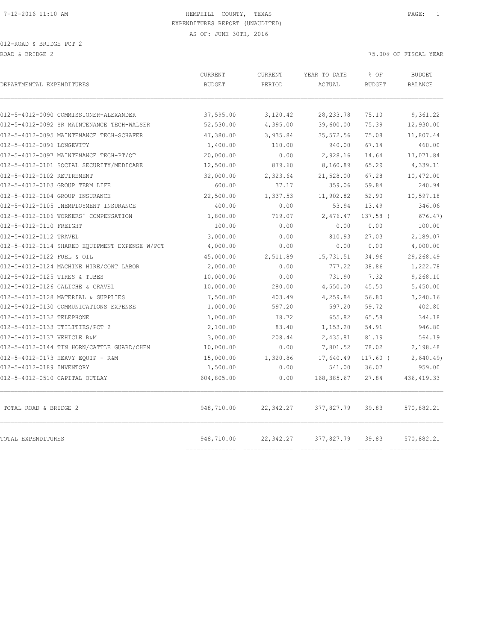012-ROAD & BRIDGE PCT 2 ROAD & BRIDGE 2 75.00% OF FISCAL YEAR

| DEPARTMENTAL EXPENDITURES                                                            | <b>CURRENT</b><br><b>BUDGET</b> | CURRENT<br>PERIOD           | YEAR TO DATE<br>ACTUAL              | % OF<br><b>BUDGET</b> | <b>BUDGET</b><br><b>BALANCE</b> |
|--------------------------------------------------------------------------------------|---------------------------------|-----------------------------|-------------------------------------|-----------------------|---------------------------------|
|                                                                                      |                                 |                             |                                     |                       |                                 |
| 012-5-4012-0090 COMMISSIONER-ALEXANDER<br>012-5-4012-0092 SR MAINTENANCE TECH-WALSER | 37,595.00                       | 3,120.42                    | 28, 233.78                          | 75.10<br>75.39        | 9,361.22<br>12,930.00           |
|                                                                                      | 52,530.00                       | 4,395.00                    | 39,600.00                           |                       |                                 |
| 012-5-4012-0095 MAINTENANCE TECH-SCHAFER<br>012-5-4012-0096 LONGEVITY                | 47,380.00<br>1,400.00           | 3,935.84<br>110.00          | 35, 572.56<br>940.00                | 75.08<br>67.14        | 11,807.44<br>460.00             |
|                                                                                      |                                 |                             |                                     |                       |                                 |
| 012-5-4012-0097 MAINTENANCE TECH-PT/OT<br>012-5-4012-0101 SOCIAL SECURITY/MEDICARE   | 20,000.00<br>12,500.00          | 0.00<br>879.60              | 2,928.16<br>8,160.89                | 14.64<br>65.29        | 17,071.84<br>4,339.11           |
|                                                                                      |                                 |                             |                                     |                       |                                 |
| 012-5-4012-0102 RETIREMENT<br>012-5-4012-0103 GROUP TERM LIFE                        | 32,000.00<br>600.00             | 2,323.64<br>37.17           | 21,528.00<br>359.06                 | 67.28<br>59.84        | 10,472.00<br>240.94             |
| 012-5-4012-0104 GROUP INSURANCE                                                      | 22,500.00                       | 1,337.53                    | 11,902.82                           | 52.90                 | 10,597.18                       |
| 012-5-4012-0105 UNEMPLOYMENT INSURANCE                                               | 400.00                          | 0.00                        | 53.94                               | 13.49                 | 346.06                          |
| 012-5-4012-0106 WORKERS' COMPENSATION                                                | 1,800.00                        | 719.07                      | 2,476.47                            | 137.58 (              | 676.47                          |
| 012-5-4012-0110 FREIGHT                                                              | 100.00                          | 0.00                        | 0.00                                | 0.00                  | 100.00                          |
| 012-5-4012-0112 TRAVEL                                                               | 3,000.00                        | 0.00                        | 810.93                              | 27.03                 | 2,189.07                        |
| 012-5-4012-0114 SHARED EQUIPMENT EXPENSE W/PCT                                       | 4,000.00                        | 0.00                        | 0.00                                | 0.00                  | 4,000.00                        |
| 012-5-4012-0122 FUEL & OIL                                                           | 45,000.00                       | 2,511.89                    | 15,731.51                           | 34.96                 | 29,268.49                       |
| 012-5-4012-0124 MACHINE HIRE/CONT LABOR                                              | 2,000.00                        | 0.00                        | 777.22                              | 38.86                 | 1,222.78                        |
| 012-5-4012-0125 TIRES & TUBES                                                        | 10,000.00                       | 0.00                        | 731.90                              | 7.32                  | 9,268.10                        |
| 012-5-4012-0126 CALICHE & GRAVEL                                                     | 10,000.00                       | 280.00                      | 4,550.00                            | 45.50                 | 5,450.00                        |
| 012-5-4012-0128 MATERIAL & SUPPLIES                                                  | 7,500.00                        | 403.49                      | 4,259.84                            | 56.80                 | 3,240.16                        |
| 012-5-4012-0130 COMMUNICATIONS EXPENSE                                               | 1,000.00                        | 597.20                      | 597.20                              | 59.72                 | 402.80                          |
| 012-5-4012-0132 TELEPHONE                                                            | 1,000.00                        | 78.72                       | 655.82                              | 65.58                 | 344.18                          |
| 012-5-4012-0133 UTILITIES/PCT 2                                                      | 2,100.00                        | 83.40                       | 1,153.20                            | 54.91                 | 946.80                          |
| 012-5-4012-0137 VEHICLE R&M                                                          | 3,000.00                        | 208.44                      | 2,435.81                            | 81.19                 | 564.19                          |
| 012-5-4012-0144 TIN HORN/CATTLE GUARD/CHEM                                           | 10,000.00                       | 0.00                        | 7,801.52                            | 78.02                 | 2,198.48                        |
| 012-5-4012-0173 HEAVY EOUIP - R&M                                                    | 15,000.00                       | 1,320.86                    | 17,640.49                           | $117.60$ (            | 2,640.49                        |
| 012-5-4012-0189 INVENTORY                                                            | 1,500.00                        | 0.00                        | 541.00                              | 36.07                 | 959.00                          |
| 012-5-4012-0510 CAPITAL OUTLAY                                                       | 604,805.00                      | 0.00                        | 168,385.67                          | 27.84                 | 436, 419.33                     |
| TOTAL ROAD & BRIDGE 2                                                                | 948,710.00                      | 22,342.27                   | 377,827.79                          | 39.83                 | 570,882.21                      |
| TOTAL EXPENDITURES                                                                   | 948,710.00<br>===========       | 22,342.27<br>-------------- | 377,827.79<br>--------------------- | 39.83                 | 570,882.21<br>---------------   |
|                                                                                      |                                 |                             |                                     |                       |                                 |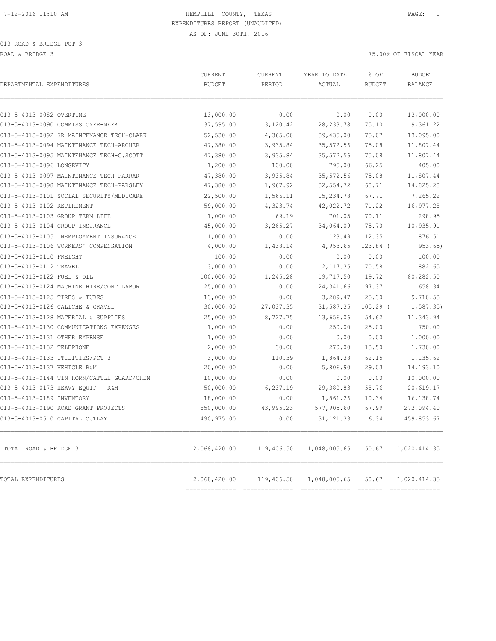013-ROAD & BRIDGE PCT 3 ROAD & BRIDGE 3 75.00% OF FISCAL YEAR

| DEPARTMENTAL EXPENDITURES                  | CURRENT<br><b>BUDGET</b> | CURRENT<br>PERIOD | YEAR TO DATE<br>ACTUAL  | % OF<br><b>BUDGET</b> | <b>BUDGET</b><br>BALANCE       |
|--------------------------------------------|--------------------------|-------------------|-------------------------|-----------------------|--------------------------------|
| 013-5-4013-0082 OVERTIME                   | 13,000.00                | 0.00              | 0.00                    | 0.00                  | 13,000.00                      |
| 013-5-4013-0090 COMMISSIONER-MEEK          | 37,595.00                | 3,120.42          | 28, 233.78              | 75.10                 | 9,361.22                       |
| 013-5-4013-0092 SR MAINTENANCE TECH-CLARK  | 52,530.00                | 4,365.00          | 39,435.00               | 75.07                 | 13,095.00                      |
| 013-5-4013-0094 MAINTENANCE TECH-ARCHER    | 47,380.00                | 3,935.84          | 35,572.56               | 75.08                 | 11,807.44                      |
| 013-5-4013-0095 MAINTENANCE TECH-G.SCOTT   | 47,380.00                | 3,935.84          | 35, 572.56              | 75.08                 | 11,807.44                      |
| 013-5-4013-0096 LONGEVITY                  | 1,200.00                 | 100.00            | 795.00                  | 66.25                 | 405.00                         |
| 013-5-4013-0097 MAINTENANCE TECH-FARRAR    | 47,380.00                | 3,935.84          | 35, 572.56              | 75.08                 | 11,807.44                      |
| 013-5-4013-0098 MAINTENANCE TECH-PARSLEY   | 47,380.00                | 1,967.92          | 32,554.72               | 68.71                 | 14,825.28                      |
| 013-5-4013-0101 SOCIAL SECURITY/MEDICARE   | 22,500.00                | 1,566.11          | 15,234.78               | 67.71                 | 7,265.22                       |
| 013-5-4013-0102 RETIREMENT                 | 59,000.00                | 4,323.74          | 42,022.72               | 71.22                 | 16,977.28                      |
| 013-5-4013-0103 GROUP TERM LIFE            | 1,000.00                 | 69.19             | 701.05                  | 70.11                 | 298.95                         |
| 013-5-4013-0104 GROUP INSURANCE            | 45,000.00                | 3,265.27          | 34,064.09               | 75.70                 | 10,935.91                      |
| 013-5-4013-0105 UNEMPLOYMENT INSURANCE     | 1,000.00                 | 0.00              | 123.49                  | 12.35                 | 876.51                         |
| 013-5-4013-0106 WORKERS' COMPENSATION      | 4,000.00                 | 1,438.14          | 4,953.65                | $123.84$ (            | 953.65)                        |
| 013-5-4013-0110 FREIGHT                    | 100.00                   | 0.00              | 0.00                    | 0.00                  | 100.00                         |
| 013-5-4013-0112 TRAVEL                     | 3,000.00                 | 0.00              | 2,117.35                | 70.58                 | 882.65                         |
| 013-5-4013-0122 FUEL & OIL                 | 100,000.00               | 1,245.28          | 19,717.50               | 19.72                 | 80,282.50                      |
| 013-5-4013-0124 MACHINE HIRE/CONT LABOR    | 25,000.00                | 0.00              | 24, 341.66              | 97.37                 | 658.34                         |
| 013-5-4013-0125 TIRES & TUBES              | 13,000.00                | 0.00              | 3,289.47                | 25.30                 | 9,710.53                       |
| 013-5-4013-0126 CALICHE & GRAVEL           | 30,000.00                | 27,037.35         | 31,587.35               | $105.29$ (            | 1, 587.35                      |
| 013-5-4013-0128 MATERIAL & SUPPLIES        | 25,000.00                | 8,727.75          | 13,656.06               | 54.62                 | 11,343.94                      |
| 013-5-4013-0130 COMMUNICATIONS EXPENSES    | 1,000.00                 | 0.00              | 250.00                  | 25.00                 | 750.00                         |
| 013-5-4013-0131 OTHER EXPENSE              | 1,000.00                 | 0.00              | 0.00                    | 0.00                  | 1,000.00                       |
| 013-5-4013-0132 TELEPHONE                  | 2,000.00                 | 30.00             | 270.00                  | 13.50                 | 1,730.00                       |
| 013-5-4013-0133 UTILITIES/PCT 3            | 3,000.00                 | 110.39            | 1,864.38                | 62.15                 | 1,135.62                       |
| 013-5-4013-0137 VEHICLE R&M                | 20,000.00                | 0.00              | 5,806.90                | 29.03                 | 14,193.10                      |
| 013-5-4013-0144 TIN HORN/CATTLE GUARD/CHEM | 10,000.00                | 0.00              | 0.00                    | 0.00                  | 10,000.00                      |
| 013-5-4013-0173 HEAVY EQUIP - R&M          | 50,000.00                | 6, 237.19         | 29,380.83               | 58.76                 | 20,619.17                      |
| 013-5-4013-0189 INVENTORY                  | 18,000.00                | 0.00              | 1,861.26                | 10.34                 | 16,138.74                      |
| 013-5-4013-0190 ROAD GRANT PROJECTS        | 850,000.00               | 43,995.23         | 577,905.60              | 67.99                 | 272,094.40                     |
| 013-5-4013-0510 CAPITAL OUTLAY             | 490,975.00               | 0.00              | 31, 121.33              | 6.34                  | 459,853.67                     |
| TOTAL ROAD & BRIDGE 3                      | 2,068,420.00             | 119,406.50        | 1,048,005.65            | 50.67                 | 1,020,414.35                   |
| TOTAL EXPENDITURES                         | 2,068,420.00             |                   | 119,406.50 1,048,005.65 | 50.67                 | 1,020,414.35<br>============== |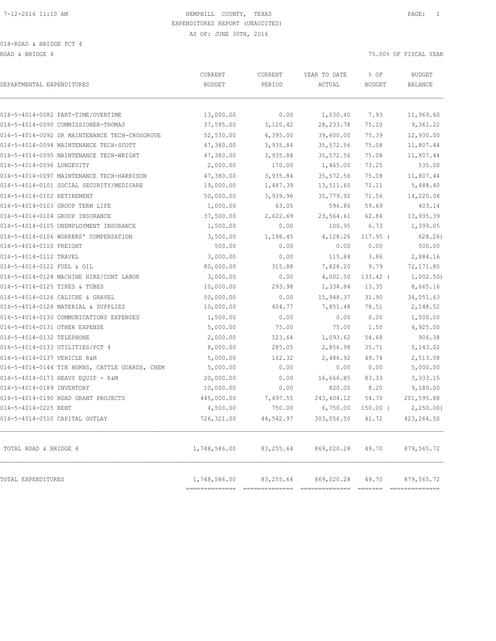014-ROAD & BRIDGE PCT 4

ROAD & BRIDGE 4 75.00% OF FISCAL YEAR

| DEPARTMENTAL EXPENDITURES                      | <b>BUDGET</b>                                   | PERIOD    | ACTUAL      | <b>BUDGET</b> | <b>BUDGET</b><br><b>BALANCE</b> |
|------------------------------------------------|-------------------------------------------------|-----------|-------------|---------------|---------------------------------|
|                                                |                                                 |           |             |               |                                 |
| 014-5-4014-0082 PART-TIME/OVERTIME             | 13,000.00                                       | 0.00      | 1,030.40    | 7.93          | 11,969.60                       |
| 014-5-4014-0090 COMMISSIONER-THOMAS            | 37,595.00                                       | 3,120.42  | 28, 233.78  | 75.10         | 9,361.22                        |
| 014-5-4014-0092 SR MAINTENANCE TECH-CROSGROVE  | 52,530.00                                       | 4,395.00  | 39,600.00   | 75.39         | 12,930.00                       |
| 014-5-4014-0094 MAINTENANCE TECH-SCOTT         | 47,380.00                                       | 3,935.84  | 35, 572.56  | 75.08         | 11,807.44                       |
| 014-5-4014-0095 MAINTENANCE TECH-WRIGHT        | 47,380.00                                       | 3,935.84  | 35, 572.56  | 75.08         | 11,807.44                       |
| 014-5-4014-0096 LONGEVITY                      | 2,000.00                                        | 170.00    | 1,465.00    | 73.25         | 535.00                          |
| 014-5-4014-0097 MAINTENANCE TECH-HARRISON      | 47,380.00                                       | 3,935.84  | 35, 572.56  | 75.08         | 11,807.44                       |
| 014-5-4014-0101 SOCIAL SECURITY/MEDICARE       | 19,000.00                                       | 1,487.39  | 13,511.60   | 71.11         | 5,488.40                        |
| 014-5-4014-0102 RETIREMENT                     | 50,000.00                                       | 3,939.96  | 35,779.92   | 71.56         | 14,220.08                       |
| 014-5-4014-0103 GROUP TERM LIFE                | 1,000.00                                        | 63.05     | 596.86      | 59.69         | 403.14                          |
| 014-5-4014-0104 GROUP INSURANCE                | 37,500.00                                       | 2,622.69  | 23,564.61   | 62.84         | 13,935.39                       |
| 014-5-4014-0105 UNEMPLOYMENT INSURANCE         | 1,500.00                                        | 0.00      | 100.95      | 6.73          | 1,399.05                        |
| 014-5-4014-0106 WORKERS' COMPENSATION          | 3,500.00                                        | 1,198.45  | 4,128.26    | $117.95$ (    | 628.26                          |
| 014-5-4014-0110 FREIGHT                        | 500.00                                          | 0.00      | 0.00        | 0.00          | 500.00                          |
| 014-5-4014-0112 TRAVEL                         | 3,000.00                                        | 0.00      | 115.84      | 3.86          | 2,884.16                        |
| 014-5-4014-0122 FUEL & OIL                     | 80,000.00                                       | 315.88    | 7,828.20    | 9.79          | 72,171.80                       |
| 014-5-4014-0124 MACHINE HIRE/CONT LABOR        | 3,000.00                                        | 0.00      | 4,002.50    | $133.42$ (    | 1,002.50                        |
| 014-5-4014-0125 TIRES & TUBES                  | 10,000.00                                       | 293.98    | 1,334.84    | 13.35         | 8,665.16                        |
| 014-5-4014-0126 CALICHE & GRAVEL               | 50,000.00                                       | 0.00      | 15,948.37   | 31.90         | 34,051.63                       |
| 014-5-4014-0128 MATERIAL & SUPPLIES            | 10,000.00                                       | 404.77    | 7,851.48    | 78.51         | 2,148.52                        |
| 014-5-4014-0130 COMMUNICATIONS EXPENSES        | 1,500.00                                        | 0.00      | 0.00        | 0.00          | 1,500.00                        |
| 014-5-4014-0131 OTHER EXPENSE                  | 5,000.00                                        | 75.00     | 75.00       | 1.50          | 4,925.00                        |
| 014-5-4014-0132 TELEPHONE                      | 2,000.00                                        | 123.64    | 1,093.62    | 54.68         | 906.38                          |
| 014-5-4014-0133 UTILITIES/PCT 4                | 8,000.00                                        | 285.05    | 2,856.98    | 35.71         | 5,143.02                        |
| 014-5-4014-0137 VEHICLE R&M                    | 5,000.00                                        | 162.32    | 2,486.92    | 49.74         | 2,513.08                        |
| 014-5-4014-0144 TIN HORNS, CATTLE GUARDS, CHEM | 5,000.00                                        | 0.00      | 0.00        | 0.00          | 5,000.00                        |
| 014-5-4014-0173 HEAVY EQUIP - R&M              | 20,000.00                                       | 0.00      | 16,666.85   | 83.33         | 3,333.15                        |
| 014-5-4014-0189 INVENTORY                      | 10,000.00                                       | 0.00      | 820.00      | 8.20          | 9,180.00                        |
| 014-5-4014-0190 ROAD GRANT PROJECTS            | 445,000.00                                      | 7,497.55  | 243, 404.12 | 54.70         | 201,595.88                      |
| 014-5-4014-0225 RENT                           | 4,500.00                                        | 750.00    | 6,750.00    | $150.00$ (    | 2, 250.00                       |
| 014-5-4014-0510 CAPITAL OUTLAY                 | 726,321.00                                      | 44,542.97 | 303,056.50  | 41.72         | 423, 264.50                     |
| TOTAL ROAD & BRIDGE 4                          | 1,748,586.00                                    | 83,255.64 | 869,020.28  | 49.70         | 879,565.72                      |
| TOTAL EXPENDITURES                             | 1,748,586.00<br>------------------------------- | 83,255.64 | 869,020.28  | 49.70         | 879,565.72<br>==============    |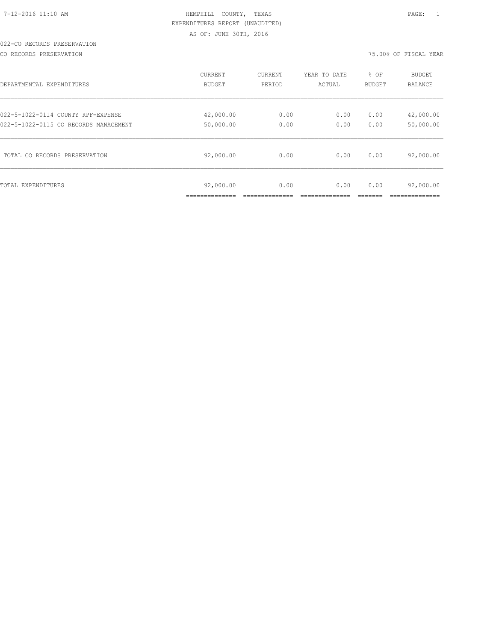# 022-CO RECORDS PRESERVATION

CO RECORDS PRESERVATION 75.00% OF FISCAL YEAR

| DEPARTMENTAL EXPENDITURES             | CURRENT                   | CURRENT | YEAR TO DATE | % OF          | <b>BUDGET</b>  |
|---------------------------------------|---------------------------|---------|--------------|---------------|----------------|
|                                       | BUDGET                    | PERIOD  | ACTUAL       | <b>BUDGET</b> | <b>BALANCE</b> |
| 022-5-1022-0114 COUNTY RPF-EXPENSE    | 42,000.00                 | 0.00    | 0.00         | 0.00          | 42,000.00      |
| 022-5-1022-0115 CO RECORDS MANAGEMENT | 50,000.00                 | 0.00    | 0.00         | 0.00          | 50,000.00      |
| TOTAL CO RECORDS PRESERVATION         | 92,000.00                 | 0.00    | 0.00         | 0.00          | 92,000.00      |
| TOTAL EXPENDITURES                    | 92,000.00<br>____________ | 0.00    | 0.00         | 0.00          | 92,000.00      |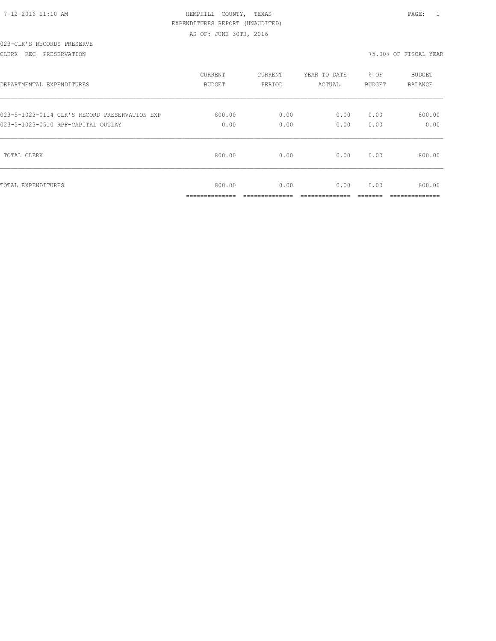| $7-12-2016$ 11:10 AM |  |  |
|----------------------|--|--|

# HEMPHILL COUNTY, TEXAS **12000** 12:10 PAGE: 1 EXPENDITURES REPORT (UNAUDITED) AS OF: JUNE 30TH, 2016

### 023-CLK'S RECORDS PRESERVE

#### CLERK REC PRESERVATION 75.00% OF FISCAL YEAR

| DEPARTMENTAL EXPENDITURES                     | <b>CURRENT</b> | CURRENT        | YEAR TO DATE  | % OF    | <b>BUDGET</b>  |
|-----------------------------------------------|----------------|----------------|---------------|---------|----------------|
|                                               | BUDGET         | PERIOD         | ACTUAL        | BUDGET  | <b>BALANCE</b> |
| 023-5-1023-0114 CLK'S RECORD PRESERVATION EXP | 800.00         | 0.00           | 0.00          | 0.00    | 800.00         |
| 023-5-1023-0510 RPF-CAPITAL OUTLAY            | 0.00           | 0.00           | 0.00          | 0.00    | 0.00           |
| TOTAL CLERK                                   | 800.00         | 0.00           | 0.00          | 0.00    | 800.00         |
| TOTAL EXPENDITURES                            | 800.00         | 0.00           | 0.00          | 0.00    | 800.00         |
|                                               | ______________ | ______________ | _____________ | ------- | ______________ |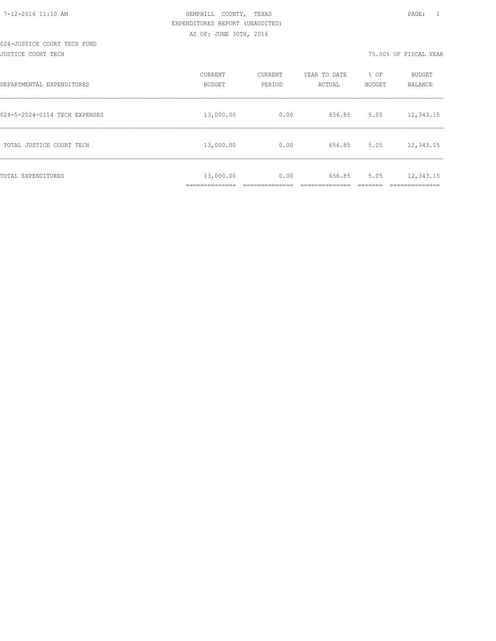| DEPARTMENTAL EXPENDITURES     | CURRENT<br><b>BUDGET</b>                | CURRENT<br>PERIOD | YEAR TO DATE<br>ACTUAL | % OF<br>BUDGET | BUDGET<br><b>BALANCE</b> |
|-------------------------------|-----------------------------------------|-------------------|------------------------|----------------|--------------------------|
| 024-5-2024-0114 TECH EXPENSES | 13,000.00                               | 0.00              | 656.85                 | 5.05           | 12,343.15                |
| TOTAL JUSTICE COURT TECH      | 13,000.00                               | 0.00              | 656.85                 | 5.05           | 12,343.15                |
| TOTAL EXPENDITURES            | 13,000.00<br>___________<br>----------- | 0.00              | 656.85                 | 5.05           | 12,343.15<br>__________  |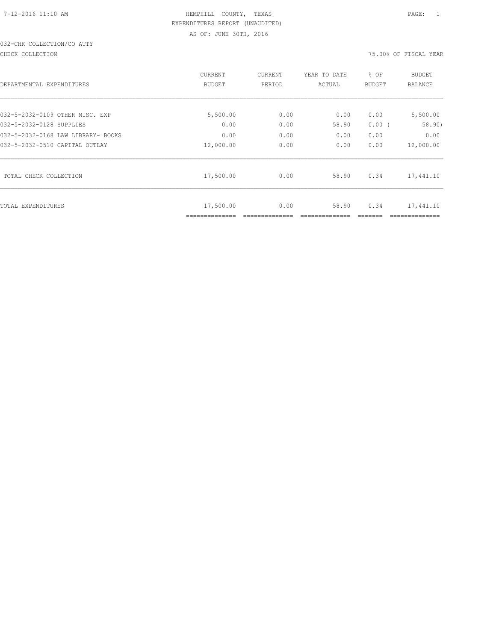# 032-CHK COLLECTION/CO ATTY

#### CHECK COLLECTION 75.00% OF FISCAL YEAR

|                                    | <b>CURRENT</b> | CURRENT | YEAR TO DATE | % OF     | <b>BUDGET</b>  |
|------------------------------------|----------------|---------|--------------|----------|----------------|
| DEPARTMENTAL EXPENDITURES          | <b>BUDGET</b>  | PERIOD  | ACTUAL       | BUDGET   | <b>BALANCE</b> |
|                                    |                |         |              |          |                |
| 032-5-2032-0109 OTHER MISC. EXP    | 5,500.00       | 0.00    | 0.00         | 0.00     | 5,500.00       |
| 032-5-2032-0128 SUPPLIES           | 0.00           | 0.00    | 58.90        | $0.00$ ( | 58.90)         |
| 032-5-2032-0168 LAW LIBRARY- BOOKS | 0.00           | 0.00    | 0.00         | 0.00     | 0.00           |
| 032-5-2032-0510 CAPITAL OUTLAY     | 12,000.00      | 0.00    | 0.00         | 0.00     | 12,000.00      |
| TOTAL CHECK COLLECTION             | 17,500.00      | 0.00    | 58.90        | 0.34     | 17,441.10      |
| TOTAL EXPENDITURES                 | 17,500.00      | 0.00    | 58.90        | 0.34     | 17,441.10      |
|                                    | ============== |         |              |          |                |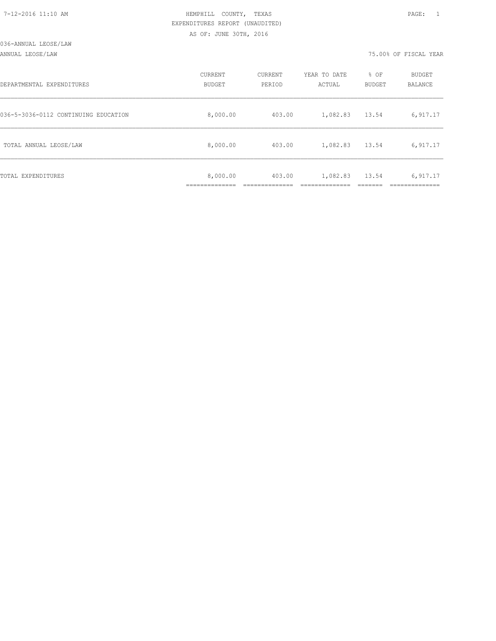ANNUAL LEOSE/LAW 75.00% OF FISCAL YEAR

| DEPARTMENTAL EXPENDITURES            | CURRENT<br><b>BUDGET</b> | CURRENT<br>PERIOD | YEAR TO DATE<br>ACTUAL | % OF<br>BUDGET | BUDGET<br><b>BALANCE</b> |
|--------------------------------------|--------------------------|-------------------|------------------------|----------------|--------------------------|
| 036-5-3036-0112 CONTINUING EDUCATION | 8,000.00                 | 403.00            | 1,082.83               | 13.54          | 6,917.17                 |
| TOTAL ANNUAL LEOSE/LAW               | 8,000.00                 | 403.00            | 1,082.83               | 13.54          | 6,917.17                 |
| TOTAL EXPENDITURES                   | 8,000.00                 | 403.00            | 1,082.83               | 13.54          | 6,917.17                 |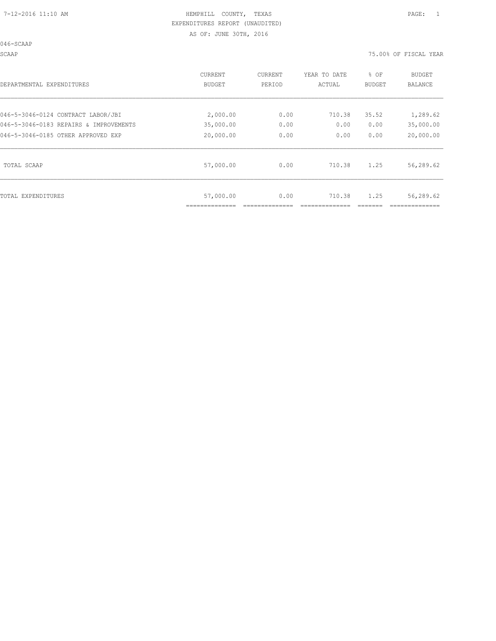046-SCAAP

SCAAP 75.00% OF FISCAL YEAR

| DEPARTMENTAL EXPENDITURES              | <b>CURRENT</b><br>BUDGET | CURRENT<br>PERIOD | YEAR TO DATE<br>ACTUAL | % OF<br>BUDGET | <b>BUDGET</b><br>BALANCE |
|----------------------------------------|--------------------------|-------------------|------------------------|----------------|--------------------------|
| 046-5-3046-0124 CONTRACT LABOR/JBI     | 2,000.00                 | 0.00              | 710.38                 | 35.52          | 1,289.62                 |
| 046-5-3046-0183 REPAIRS & IMPROVEMENTS | 35,000.00                | 0.00              | 0.00                   | 0.00           | 35,000.00                |
| 046-5-3046-0185 OTHER APPROVED EXP     | 20,000.00                | 0.00              | 0.00                   | 0.00           | 20,000.00                |
| TOTAL SCAAP                            | 57,000.00                | 0.00              | 710.38                 | 1.25           | 56,289.62                |
| TOTAL EXPENDITURES                     | 57,000.00                | 0.00              | 710.38                 | 1.25           | 56,289.62                |